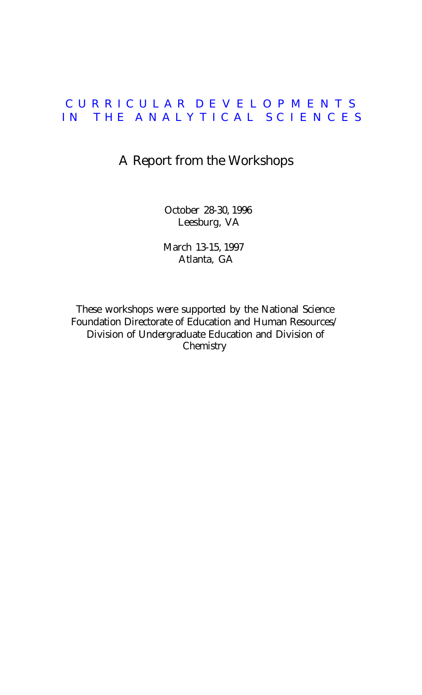# C URRICULAR D EVELOPMENTS IN THE ANALYTICAL SCIENCES

# A Report from the Workshops

October 28-30, 1996 Leesburg, VA

March 13-15, 1997 Atlanta, GA

These workshops were supported by the National Science Foundation Directorate of Education and Human Resources/ Division of Undergraduate Education and Division of **Chemistry**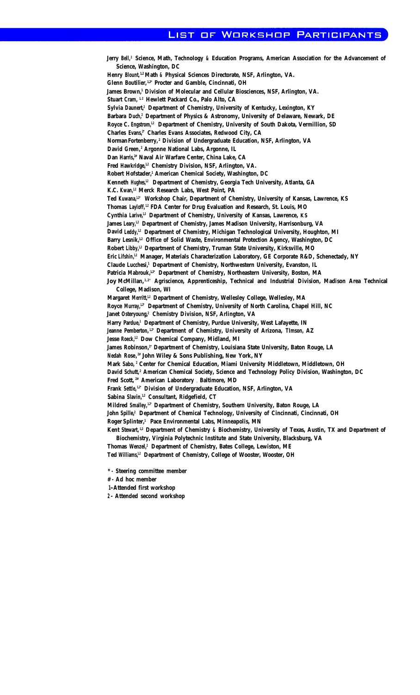#### OF WORKSHOP PARTICIPANTS LIST

Jerry Bell,<sup>2</sup> Science, Math, Technology & Education Programs, American Association for the Advancement of **Science, Washington, DC Henry Blount, 1,2 Math & Physical Sciences Directorate, NSF, Arlington, VA. Glenn Boutilier, 1,2\* Procter and Gamble, Cincinnati, OH** James Brown,<sup>1</sup> Division of Molecular and Cellular Biosciences, NSF, Arlington, VA. Stuart Cram, <sup>1,2</sup> Hewlett Packard Co., Palo Alto, CA Sylvia Daunert,<sup>2</sup> Department of Chemistry, University of Kentucky, Lexington, KY **Barbara Duch,2 Department of Physics & Astronomy, University of Delaware, Newark, DE** Royce C. Engstrom,<sup>1,2</sup> Department of Chemistry, University of South Dakota, Vermillion, SD Charles Evans,<sup>2</sup> Charles Evans Associates, Redwood City, CA **NormanFortenberry, <sup>2</sup> Division of Undergraduate Education, NSF, Arlington, VA David Green, <sup>2</sup> Argonne National Labs, Argonne, IL Dan Harris,2# Naval Air Warfare Center, China Lake, CA** Fred Hawkridge,<sup>1,2</sup> Chemistry Division, NSF, Arlington, VA. **Robert Hofstader,1 American Chemical Society, Washington, DC** Kenneth Hughes,<sup>12</sup> Department of Chemistry, Georgia Tech University, Atlanta, GA **K.C. Kwan,1,2 Merck Research Labs, West Point, PA** Ted Kuwana,<sup>1,2</sup> Workshop Chair, Department of Chemistry, University of Kansas, Lawrence, KS **Thomas Layloff, 1,2 FDA Center for Drug Evaluation and Research, St. Louis, MO** Cynthia Larive,<sup>1,2</sup> Department of Chemistry, University of Kansas, Lawrence, KS James Leary,<sup>12</sup> Department of Chemistry, James Madison University, Harrisonburg, VA David Leddy,<sup>1,2</sup> Department of Chemistry, Michigan Technological University, Houghton, MI Barry Lesnik,<sup>1,2</sup> Office of Solid Waste, Environmental Protection Agency, Washington, DC **Robert Libby,1,2 Department of Chemistry, Truman State University, Kirksville, MO Eric Lifshin,1,2 Manager, Materials Characterization Laboratory, GE Corporate R&D, Schenectady, NY** Claude Lucchesi,<sup>1</sup> Department of Chemistry, Northwestern University, Evanston, IL Patricia Mabrouk,<sup>1,2</sup><sup>\*</sup> Department of Chemistry, Northeastern University, Boston, MA **Joy McMillan, 1,2 \* Agriscience, Apprenticeship, Technical and Industrial Division, Madison Area Technical College, Madison, WI Margaret Merritt,1,2 Department of Chemistry, Wellesley College, Wellesley, MA Royce Murray,1,2\* Department of Chemistry, University of North Carolina, Chapel Hill, NC** Janet Osteryoung,<sup>2</sup> Chemistry Division, NSF, Arlington, VA Harry Pardue,<sup>1</sup> Department of Chemistry, Purdue University, West Lafayette, IN **Jeanne Pemberton, 1,2\* Department of Chemistry, University of Arizona, TImson, AZ** Jesse Roeck,<sup>1,2</sup> Dow Chemical Company, Midland, MI James Robinson,<sup>1</sup> Department of Chemistry, Louisiana State University, Baton Rouge, LA **Nedah Rose, 2# John Wiley & Sons Publishing, New York, NY Mark Sabo, 2 Center for Chemical Education, Miami University Middletown, Middletown, OH David Schutt, <sup>2</sup> American Chemical Society, Science and Technology Policy Division, Washington, DC Fred Scott, 2# American Laboratory** , **Baltimore, MD Frank Settle, 1,2\* Division of Undergraduate Education, NSF, Arlington, VA Sabina Slavin,1,2 Consultant, Ridgefield, CT Mildred Smalley, 1,2\* Department of Chemistry, Southern University, Baton Rouge, LA** John Spille,<sup>2</sup> Department of Chemical Technology, University of Cincinnati, Cincinnati, OH **Roger Splinter,1 Pace Environmental Labs, Minneapolis, MN Kent Stewart, 1,2 Department of Chemistry & Biochemistry, University of Texas, Austin, TX and Department of**

**Biochemistry, Virginia Polytechnic Institute and State University, Blacksburg, VA** Thomas Wenzel,<sup>2</sup> Department of Chemistry, Bates College, Lewiston, ME

**Ted Williams,1,2 Department of Chemistry, College of Wooster, Wooster, OH**

**\* - Steering committee member**

**# - Ad hoc member**

**1-Attended first workshop**

**2 - Attended second workshop**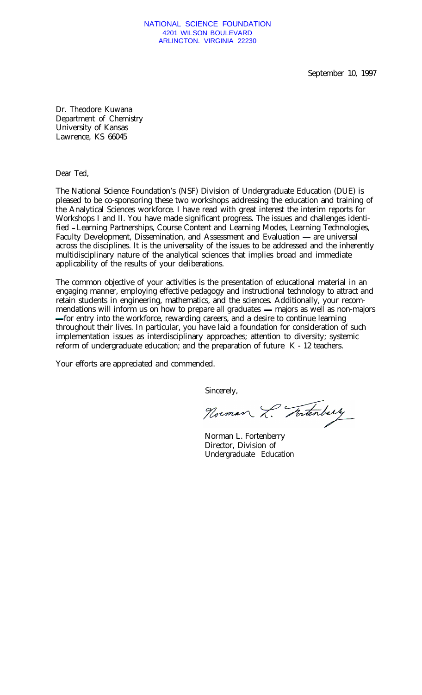### NATIONAL SCIENCE FOUNDATION 4201 WILSON BOULEVARD ARLINGTON. VIRGINIA 22230

September 10, 1997

Dr. Theodore Kuwana Department of Chemistry University of Kansas Lawrence, KS 66045

Dear Ted,

The National Science Foundation's (NSF) Division of Undergraduate Education (DUE) is pleased to be co-sponsoring these two workshops addressing the education and training of the Analytical Sciences workforce. I have read with great interest the interim reports for Workshops I and II. You have made significant progress. The issues and challenges identified **-**Learning Partnerships, Course Content and Learning Modes, Learning Technologies, Faculty Development, Dissemination, and Assessment and Evaluation — are universal across the disciplines. It is the universality of the issues to be addressed and the inherently multidisciplinary nature of the analytical sciences that implies broad and immediate applicability of the results of your deliberations.

The common objective of your activities is the presentation of educational material in an engaging manner, employing effective pedagogy and instructional technology to attract and retain students in engineering, mathematics, and the sciences. Additionally, your recommendations will inform us on how to prepare all graduates **-** majors as well as non-majors **-** for entry into the workforce, rewarding careers, and a desire to continue learning throughout their lives. In particular, you have laid a foundation for consideration of such implementation issues as interdisciplinary approaches; attention to diversity; systemic reform of undergraduate education; and the preparation of future K - 12 teachers.

Your efforts are appreciated and commended.

Sincerely,

Norman L. Tortenberry

Norman L. Fortenberry Director, Division of Undergraduate Education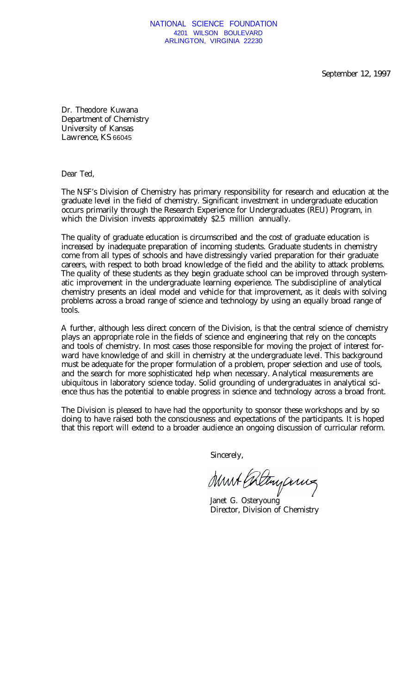September 12, 1997

Dr. Theodore Kuwana Department of Chemistry University of Kansas Lawrence, KS 66045

Dear Ted,

The NSF's Division of Chemistry has primary responsibility for research and education at the graduate level in the field of chemistry. Significant investment in undergraduate education occurs primarily through the Research Experience for Undergraduates (REU) Program, in which the Division invests approximately \$2.5 million annually.

The quality of graduate education is circumscribed and the cost of graduate education is increased by inadequate preparation of incoming students. Graduate students in chemistry come from all types of schools and have distressingly varied preparation for their graduate careers, with respect to both broad knowledge of the field and the ability to attack problems. The quality of these students as they begin graduate school can be improved through systematic improvement in the undergraduate learning experience. The subdiscipline of analytical chemistry presents an ideal model and vehicle for that improvement, as it deals with solving problems across a broad range of science and technology by using an equally broad range of tools.

A further, although less direct concern of the Division, is that the central science of chemistry plays an appropriate role in the fields of science and engineering that rely on the concepts and tools of chemistry. In most cases those responsible for moving the project of interest forward have knowledge of and skill in chemistry at the undergraduate level. This background must be adequate for the proper formulation of a problem, proper selection and use of tools, and the search for more sophisticated help when necessary. Analytical measurements are ubiquitous in laboratory science today. Solid grounding of undergraduates in analytical science thus has the potential to enable progress in science and technology across a broad front.

The Division is pleased to have had the opportunity to sponsor these workshops and by so doing to have raised both the consciousness and expectations of the participants. It is hoped that this report will extend to a broader audience an ongoing discussion of curricular reform.

Sincerely,

Must Coltingances

Janet G. Osteryoung Director, Division of Chemistry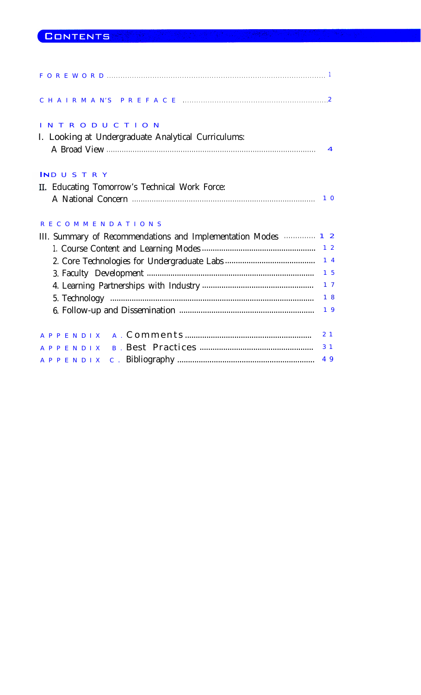| <b>INTRODUCTION</b><br>I. Looking at Undergraduate Analytical Curriculums:                      |                |
|-------------------------------------------------------------------------------------------------|----------------|
| <b>INDUSTRY</b>                                                                                 |                |
| II. Educating Tomorrow's Technical Work Force:                                                  |                |
| A National Concern <b>contracts</b> and the National Concern contracts and the National Concern | 10             |
| <b>RECOMMENDATIONS</b>                                                                          |                |
| III. Summary of Recommendations and Implementation Modes <b>Martin 12</b>                       |                |
|                                                                                                 | 1 <sub>2</sub> |
|                                                                                                 | 14             |
|                                                                                                 | 15             |
|                                                                                                 | 1 <sub>7</sub> |
|                                                                                                 | 18             |
|                                                                                                 | 19             |
|                                                                                                 |                |
|                                                                                                 | 2 <sub>1</sub> |
|                                                                                                 | 3 <sub>1</sub> |
|                                                                                                 | 49             |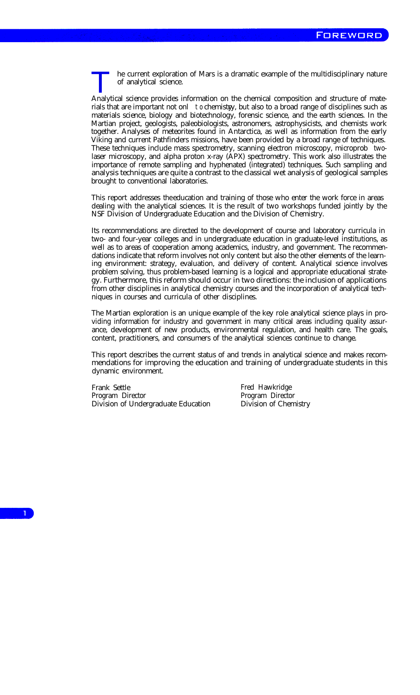he current exploration of Mars is a dramatic example of the multidisciplinary nature of analytical science.

Analytical science provides information on the chemical composition and structure of materials that are important not onl to chemistyy, but also to a broad range of disciplines such as materials science, biology and biotechnology, forensic science, and the earth sciences. In the Martian project, geologists, paleobiologists, astronomers, astrophysicists, and chemists work together. Analyses of meteorites found in Antarctica, as well as information from the early Viking and current Pathfinders missions, have been provided by a broad range of techniques. These techniques include mass spectrometry, scanning electron microscopy, microprob twolaser microscopy, and alpha proton x-ray (APX) spectrometry. This work also illustrates the importance of remote sampling and hyphenated (integrated) techniques. Such sampling and analysis techniques are quite a contrast to the classical wet analysis of geological samples brought to conventional laboratories.

This report addresses the education and training of those who enter the work force in areas dealing with the analytical sciences. It is the result of two workshops funded jointly by the NSF Division of Undergraduate Education and the Division of Chemistry.

Its recommendations are directed to the development of course and laboratory curricula in two- and four-year colleges and in undergraduate education in graduate-level institutions, as well as to areas of cooperation among academics, industry, and government. The recommendations indicate that reform involves not only content but also the other elements of the learning environment: strategy, evaluation, and delivery of content. Analytical science involves problem solving, thus problem-based learning is a logical and appropriate educational strategy. Furthermore, this reform should occur in two directions: the inclusion of applications from other disciplines in analytical chemistry courses and the incorporation of analytical techniques in courses and curricula of other disciplines.

The Martian exploration is an unique example of the key role analytical science plays in providing information for industry and government in many critical areas including quality assurance, development of new products, environmental regulation, and health care. The goals, content, practitioners, and consumers of the analytical sciences continue to change.

This report describes the current status of and trends in analytical science and makes recommendations for improving the education and training of undergraduate students in this dynamic environment.

Frank Settle Frank Settle Fred Hawkridge Program Director Program Director Division of Undergraduate Education Division of Chemistry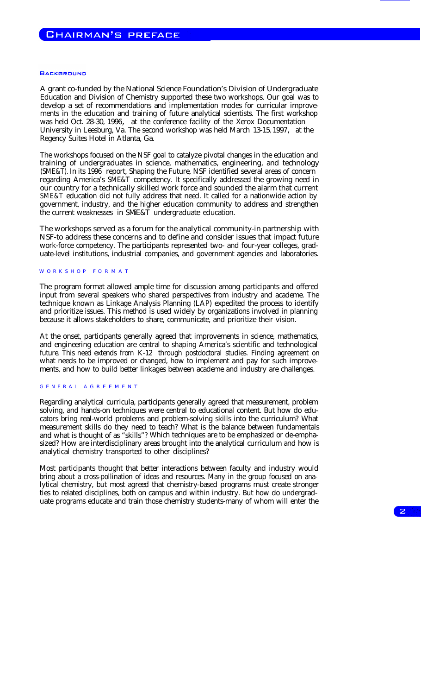### **BACKGROUND**

A grant co-funded by the National Science Foundation's Division of Undergraduate Education and Division of Chemistry supported these two workshops. Our goal was to develop a set of recommendations and implementation modes for curricular improvements in the education and training of future analytical scientists. The first workshop was held Oct. 28-30, 1996, at the conference facility of the Xerox Documentation University in Leesburg, Va. The second workshop was held March 13-15, 1997, at the Regency Suites Hotel in Atlanta, Ga.

The workshops focused on the NSF goal to catalyze pivotal changes in the education and training of undergraduates in science, mathematics, engineering, and technology (SME&T). In its 1996 report, Shaping the Future, NSF identified several areas of concern regarding America's SME&T competency. It specifically addressed the growing need in our country for a technically skilled work force and sounded the alarm that current SME&T education did not fully address that need. It called for a nationwide action by government, industry, and the higher education community to address and strengthen the current weaknesses in SME&T undergraduate education.

The workshops served as a forum for the analytical community-in partnership with NSF-to address these concerns and to define and consider issues that impact future work-force competency. The participants represented two- and four-year colleges, graduate-level institutions, industrial companies, and government agencies and laboratories.

#### W ORKSHOP FORMAT

The program format allowed ample time for discussion among participants and offered input from several speakers who shared perspectives from industry and academe. The technique known as Linkage Analysis Planning (LAP) expedited the process to identify and prioritize issues. This method is used widely by organizations involved in planning because it allows stakeholders to share, communicate, and prioritize their vision.

At the onset, participants generally agreed that improvements in science, mathematics, and engineering education are central to shaping America's scientific and technological future. This need extends from K-12 through postdoctoral studies. Finding agreement on what needs to be improved or changed, how to implement and pay for such improvements, and how to build better linkages between academe and industry are challenges.

#### GENERAL AGREEMENT

Regarding analytical curricula, participants generally agreed that measurement, problem solving, and hands-on techniques were central to educational content. But how do educators bring real-world problems and problem-solving skills into the curriculum? What measurement skills do they need to teach? What is the balance between fundamentals and what is thought of as "skills"? Which techniques are to be emphasized or de-emphasized? How are interdisciplinary areas brought into the analytical curriculum and how is analytical chemistry transported to other disciplines?

Most participants thought that better interactions between faculty and industry would bring about a cross-pollination of ideas and resources. Many in the group focused on analytical chemistry, but most agreed that chemistry-based programs must create stronger ties to related disciplines, both on campus and within industry. But how do undergraduate programs educate and train those chemistry students-many of whom will enter the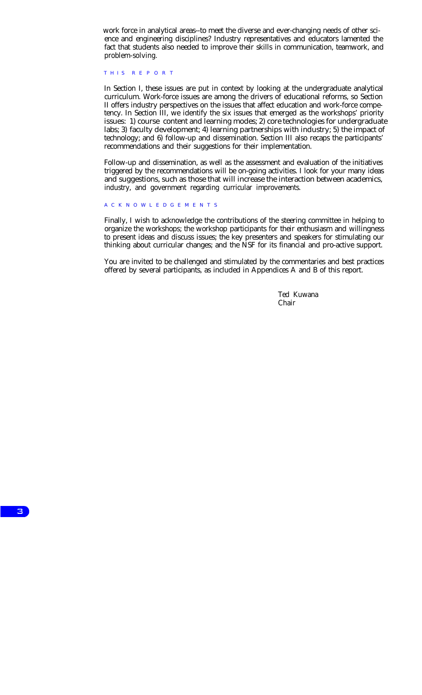work force in analytical areas--to meet the diverse and ever-changing needs of other science and engineering disciplines? Industry representatives and educators lamented the fact that students also needed to improve their skills in communication, teamwork, and problem-solving.

# THIS REPORT

In Section I, these issues are put in context by looking at the undergraduate analytical curriculum. Work-force issues are among the drivers of educational reforms, so Section II offers industry perspectives on the issues that affect education and work-force competency. In Section III, we identify the six issues that emerged as the workshops' priority issues: 1) course content and learning modes; 2) core technologies for undergraduate labs; 3) faculty development; 4) learning partnerships with industry; 5) the impact of technology; and 6) follow-up and dissemination. Section III also recaps the participants' recommendations and their suggestions for their implementation.

Follow-up and dissemination, as well as the assessment and evaluation of the initiatives triggered by the recommendations will be on-going activities. I look for your many ideas and suggestions, such as those that will increase the interaction between academics, industry, and government regarding curricular improvements.

# A CKNOWLEDGEMENTS

Finally, I wish to acknowledge the contributions of the steering committee in helping to organize the workshops; the workshop participants for their enthusiasm and willingness to present ideas and discuss issues; the key presenters and speakers for stimulating our thinking about curricular changes; and the NSF for its financial and pro-active support.

You are invited to be challenged and stimulated by the commentaries and best practices offered by several participants, as included in Appendices A and B of this report.

> Ted Kuwana Chair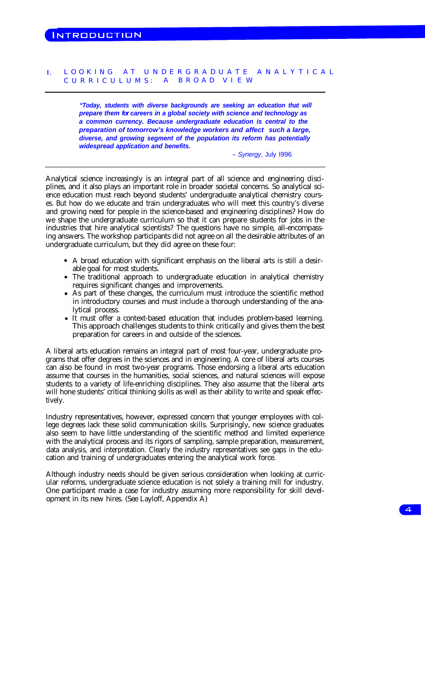# I. LOOKING AT UNDERGRADUATE ANALYTICAL CURRICULUMS: A BROAD VIEW

*"Today, students with diverse backgrounds are seeking an education that will prepare them for careers in a global society with science and technology as a common currency. Because undergraduate education is central to the preparation of tomorrow's knowledge workers and affect such a large, s diverse, and growing segment of the population its reform has potentially widespread application and benefits.*

- *Synergy*, July I996

Analytical science increasingly is an integral part of all science and engineering disciplines, and it also plays an important role in broader societal concerns. So analytical science education must reach beyond students' undergraduate analytical chemistry courses. But how do we educate and train undergraduates who will meet this country's diverse and growing need for people in the science-based and engineering disciplines? How do we shape the undergraduate curriculum so that it can prepare students for jobs in the industries that hire analytical scientists? The questions have no simple, all-encompassing answers. The workshop participants did not agree on all the desirable attributes of an undergraduate curriculum, but they did agree on these four:

- A broad education with significant emphasis on the liberal arts is still a desirable goal for most students.
- The traditional approach to undergraduate education in analytical chemistry requires significant changes and improvements.
- As part of these changes, the curriculum must introduce the scientific method in introductory courses and must include a thorough understanding of the analytical process.
- It must offer a context-based education that includes problem-based learning. This approach challenges students to think critically and gives them the best preparation for careers in and outside of the sciences.

A liberal arts education remains an integral part of most four-year, undergraduate programs that offer degrees in the sciences and in engineering. A core of liberal arts courses can also be found in most two-year programs. Those endorsing a liberal arts education assume that courses in the humanities, social sciences, and natural sciences will expose students to a variety of life-enriching disciplines. They also assume that the liberal arts will hone students' critical thinking skills as well as their ability to write and speak effectively.

Industry representatives, however, expressed concern that younger employees with college degrees lack these solid communication skills. Surprisingly, new science graduates also seem to have little understanding of the scientific method and limited experience with the analytical process and its rigors of sampling, sample preparation, measurement, data analysis, and interpretation. Clearly the industry representatives see gaps in the education and training of undergraduates entering the analytical work force.

Although industry needs should be given serious consideration when looking at curricular reforms, undergraduate science education is not solely a training mill for industry. One participant made a case for industry assuming more responsibility for skill development in its new hires. (See Layloff, Appendix A)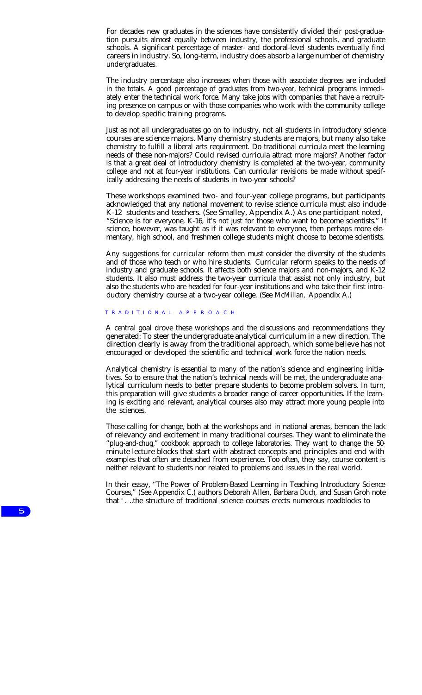For decades new graduates in the sciences have consistently divided their post-graduation pursuits almost equally between industry, the professional schools, and graduate schools. A significant percentage of master- and doctoral-level students eventually find careers in industry. So, long-term, industry does absorb a large number of chemistry undergraduates.

The industry percentage also increases when those with associate degrees are included in the totals. A good percentage of graduates from two-year, technical programs immediately enter the technical work force. Many take jobs with companies that have a recruiting presence on campus or with those companies who work with the community college to develop specific training programs.

Just as not all undergraduates go on to industry, not all students in introductory science courses are science majors. Many chemistry students are majors, but many also take chemistry to fulfill a liberal arts requirement. Do traditional curricula meet the learning needs of these non-majors? Could revised curricula attract more majors? Another factor is that a great deal of introductory chemistry is completed at the two-year, community college and not at four-year institutions. Can curricular revisions be made without specifically addressing the needs of students in two-year schools?

These workshops examined two- and four-year college programs, but participants acknowledged that any national movement to revise science curricula must also include K-12 students and teachers. (See Smalley, Appendix A.) As one participant noted, "Science is for everyone, K-16, it's not just for those who want to become scientists." If science, however, was taught as if it was relevant to everyone, then perhaps more elementary, high school, and freshmen college students might choose to become scientists.

Any suggestions for curricular reform then must consider the diversity of the students and of those who teach or who hire students. Curricular reform speaks to the needs of industry and graduate schools. It affects both science majors and non-majors, and K-12 students. It also must address the two-year curricula that assist not only industry, but also the students who are headed for four-year institutions and who take their first introductory chemistry course at a two-year college. (See McMillan, Appendix A.)

#### T RADITIONA L A PPROACH

A central goal drove these workshops and the discussions and recommendations they generated: To steer the undergraduate analytical curriculum in a new direction. The direction clearly is away from the traditional approach, which some believe has not encouraged or developed the scientific and technical work force the nation needs.

Analytical chemistry is essential to many of the nation's science and engineering initiatives. So to ensure that the nation's technical needs will be met, the undergraduate analytical curriculum needs to better prepare students to become problem solvers. In turn, this preparation will give students a broader range of career opportunities. If the learning is exciting and relevant, analytical courses also may attract more young people into the sciences.

Those calling for change, both at the workshops and in national arenas, bemoan the lack of relevancy and excitement in many traditional courses. They want to eliminate the "plug-and-chug," cookbook approach to college laboratories. They want to change the 50 minute lecture blocks that start with abstract concepts and principles and end with examples that often are detached from experience. Too often, they say, course content is neither relevant to students nor related to problems and issues in the real world.

In their essay, "The Power of Problem-Based Learning in Teaching Introductory Science Courses," (See Appendix C.) authors Deborah Allen, Barbara Duch, and Susan Groh note that "...the structure of traditional science courses erects numerous roadblocks to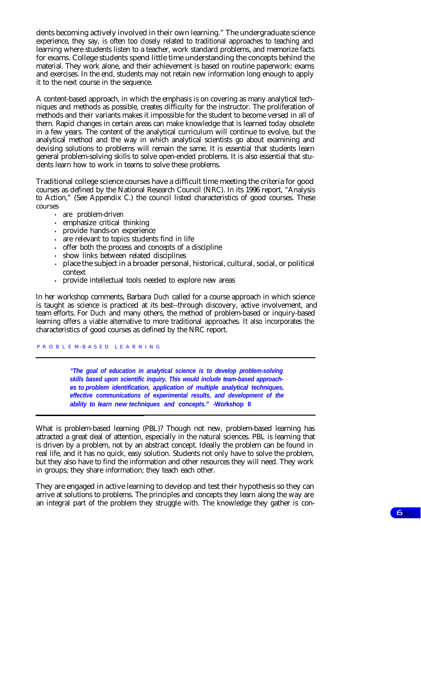dents becoming actively involved in their own learning." The undergraduate science experience, they say, is often too closely related to traditional approaches to teaching and learning where students listen to a teacher, work standard problems, and memorize facts for exams. College students spend little time understanding the concepts behind the material. They work alone, and their achievement is based on routine paperwork: exams and exercises. In the end, students may not retain new information long enough to apply it to the next course in the sequence.

A content-based approach, in which the emphasis is on covering as many analytical techniques and methods as possible, creates difficulty for the instructor. The proliferation of methods and their variants makes it impossible for the student to become versed in all of them. Rapid changes in certain areas can make knowledge that is learned today obsolete in a few years. The content of the analytical curriculum will continue to evolve, but the analytical method and the way in which analytical scientists go about examining and devising solutions to problems will remain the same. It is essential that students learn general problem-solving skills to solve open-ended problems. It is also essential that students learn how to work in teams to solve these problems.

Traditional college science courses have a difficult time meeting the criteria for good courses as defined by the National Research Council (NRC). In its 1996 report, "Analysis to Action," (See Appendix C.) the council listed characteristics of good courses. These courses

- **.** are problem-driven
- **.** emphasize critical thinking
- **.** provide hands-on experience
- **.** are relevant to topics students find in life
- **.** offer both the process and concepts of a discipline
- **.** show links between related disciplines
- **.** place the subject in a broader personal, historical, cultural, social, or political context
- **.** provide intellectual tools needed to explore new areas

In her workshop comments, Barbara Duch called for a course approach in which science is taught as science is practiced at its best--through discovery, active involvement, and team efforts. For Duch and many others, the method of problem-based or inquiry-based learning offers a viable alternative to more traditional approaches. It also incorporates the characteristics of good courses as defined by the NRC report.

P R O B L E M-B A S E D L E A R N I N G

*"The goal of education in analytical science is to develop problem-solving skills based upon scientific inquiry. This would include team-based approaches to problem identification, application of multiple analytical techniques, effective communications of experimental results, and development of the ability to learn new techniques and concepts."* **-Workshop II**

What is problem-based learning (PBL)? Though not new, problem-based learning has attracted a great deal of attention, especially in the natural sciences. PBL is learning that is driven by a problem, not by an abstract concept. Ideally the problem can be found in real life, and it has no quick, easy solution. Students not only have to solve the problem, but they also have to find the information and other resources they will need. They work in groups; they share information; they teach each other.

They are engaged in active learning to develop and test their hypothesis so they can arrive at solutions to problems. The principles and concepts they learn along the way are an integral part of the problem they struggle with. The knowledge they gather is con-

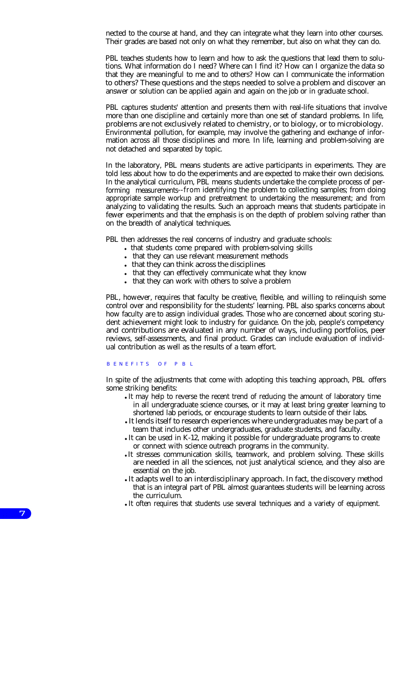nected to the course at hand, and they can integrate what they learn into other courses. Their grades are based not only on what they remember, but also on what they can do.

PBL teaches students how to learn and how to ask the questions that lead them to solutions. What information do I need? Where can I find it? How can I organize the data so that they are meaningful to me and to others? How can I communicate the information to others? These questions and the steps needed to solve a problem and discover an answer or solution can be applied again and again on the job or in graduate school.

PBL captures students' attention and presents them with real-life situations that involve more than one discipline and certainly more than one set of standard problems. In life, problems are not exclusively related to chemistry, or to biology, or to microbiology. Environmental pollution, for example, may involve the gathering and exchange of information across all those disciplines and more. In life, learning and problem-solving are not detached and separated by topic.

In the laboratory, PBL means students are active participants in experiments. They are told less about how to do the experiments and are expected to make their own decisions. In the analytical curriculum, PBL means students undertake the complete process of performing measurements--from identifying the problem to collecting samples; from doing appropriate sample workup and pretreatment to undertaking the measurement; and from analyzing to validating the results. Such an approach means that students participate in fewer experiments and that the emphasis is on the depth of problem solving rather than on the breadth of analytical techniques.

PBL then addresses the real concerns of industry and graduate schools:

- In that students come prepared with problem-solving skills
- Interpretent measurement methods that they can use relevant measurement methods
- that they can think across the disciplines
- that they can effectively communicate what they know
- that they can work with others to solve a problem

PBL, however, requires that faculty be creative, flexible, and willing to relinquish some control over and responsibility for the students' learning. PBL also sparks concerns about how faculty are to assign individual grades. Those who are concerned about scoring student achievement might look to industry for guidance. On the job, people's competency and contributions are evaluated in any number of ways, including portfolios, peer reviews, self-assessments, and final product. Grades can include evaluation of individual contribution as well as the results of a team effort.

# B ENEFITS OF P B L

In spite of the adjustments that come with adopting this teaching approach, PBL offers some striking benefits:

- It may help to reverse the recent trend of reducing the amount of laboratory time in all undergraduate science courses, or it may at least bring greater learning to shortened lab periods, or encourage students to learn outside of their labs.
- It lends itself to research experiences where undergraduates may be part of a team that includes other undergraduates, graduate students, and faculty.
- It can be used in K-12, making it possible for undergraduate programs to create or connect with science outreach programs in the community.
- It stresses communication skills, teamwork, and problem solving. These skills are needed in all the sciences, not just analytical science, and they also are essential on the job.
- It adapts well to an interdisciplinary approach. In fact, the discovery method that is an integral part of PBL almost guarantees students will be learning across the curriculum.
- It often requires that students use several techniques and a variety of equipment.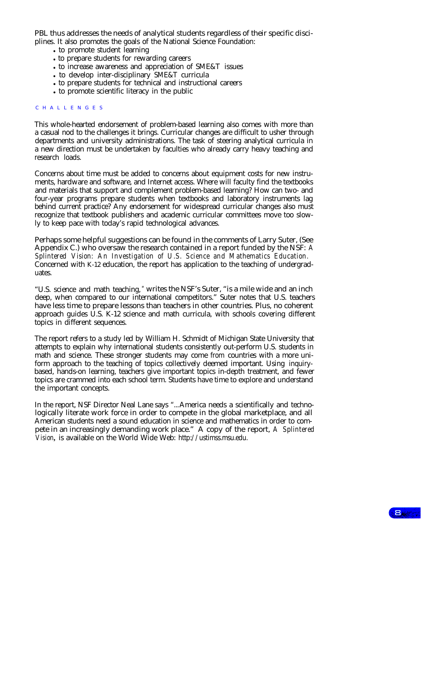PBL thus addresses the needs of analytical students regardless of their specific disciplines. It also promotes the goals of the National Science Foundation:

- to promote student learning
- to prepare students for rewarding careers
- <sup>l</sup> to increase awareness and appreciation of SME&T issues
- to develop inter-disciplinary SME&T curricula
- to prepare students for technical and instructional careers
- to promote scientific literacy in the public

#### C HALLENGES

This whole-hearted endorsement of problem-based learning also comes with more than a casual nod to the challenges it brings. Curricular changes are difficult to usher through departments and university administrations. The task of steering analytical curricula in a new direction must be undertaken by faculties who already carry heavy teaching and research loads.

Concerns about time must be added to concerns about equipment costs for new instruments, hardware and software, and Internet access. Where will faculty find the textbooks and materials that support and complement problem-based learning? How can two- and four-year programs prepare students when textbooks and laboratory instruments lag behind current practice? Any endorsement for widespread curricular changes also must recognize that textbook publishers and academic curricular committees move too slowly to keep pace with today's rapid technological advances.

Perhaps some helpful suggestions can be found in the comments of Larry Suter, (See Appendix C.) who oversaw the research contained in a report funded by the NSF: *A Splintered Vision: An Investigation of U.S. Science and Mathematics Education.* Concerned with K-12 education, the report has application to the teaching of undergraduates.

"U.S. science and math teaching, " writes the NSF's Suter, "is a mile wide and an inch deep, when compared to our international competitors." Suter notes that U.S. teachers have less time to prepare lessons than teachers in other countries. Plus, no coherent approach guides U.S. K-12 science and math curricula, with schools covering different topics in different sequences.

The report refers to a study led by William H. Schmidt of Michigan State University that attempts to explain why international students consistently out-perform U.S. students in math and science. These stronger students may come from countries with a more uniform approach to the teaching of topics collectively deemed important. Using inquirybased, hands-on learning, teachers give important topics in-depth treatment, and fewer topics are crammed into each school term. Students have time to explore and understand the important concepts.

In the report, NSF Director Neal Lane says "...America needs a scientifically and technologically literate work force in order to compete in the global marketplace, and all American students need a sound education in science and mathematics in order to compete in an increasingly demanding work place." A copy of the report, *A Splintered Vision,* is available on the World Wide Web: http://ustimss.msu.edu.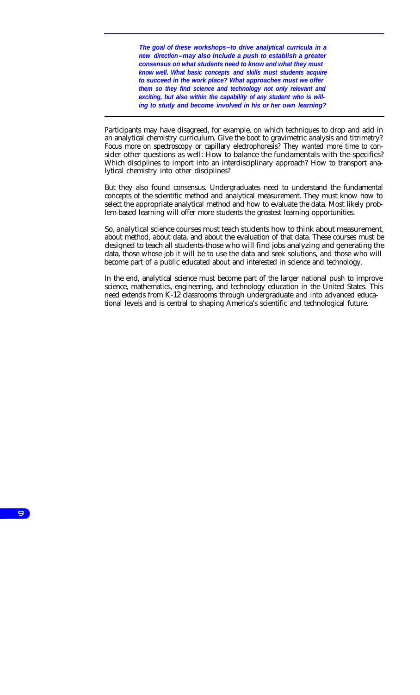*The goal of these workshops-to drive analytical curricula in a new direction-may also include a push to establish a greater consensus on what students need to know and what they must know well. What basic concepts and skills must students acquire to succeed in the work place? What approaches must we offer them so they find science and technology not only relevant and exciting, but also within the capability of any student who is willing to study and become involved in his or her own learning?*

Participants may have disagreed, for example, on which techniques to drop and add in an analytical chemistry curriculum. Give the boot to gravimetric analysis and titrimetry? Focus more on spectroscopy or capillary electrophoresis? They wanted more time to consider other questions as well: How to balance the fundamentals with the specifics? Which disciplines to import into an interdisciplinary approach? How to transport analytical chemistry into other disciplines?

But they also found consensus. Undergraduates need to understand the fundamental concepts of the scientific method and analytical measurement. They must know how to select the appropriate analytical method and how to evaluate the data. Most likely problem-based learning will offer more students the greatest learning opportunities.

So, analytical science courses must teach students how to think about measurement, about method, about data, and about the evaluation of that data. These courses must be designed to teach all students-those who will find jobs analyzing and generating the data, those whose job it will be to use the data and seek solutions, and those who will become part of a public educated about and interested in science and technology.

In the end, analytical science must become part of the larger national push to improve science, mathematics, engineering, and technology education in the United States. This need extends from K-12 classrooms through undergraduate and into advanced educational levels and is central to shaping America's scientific and technological future.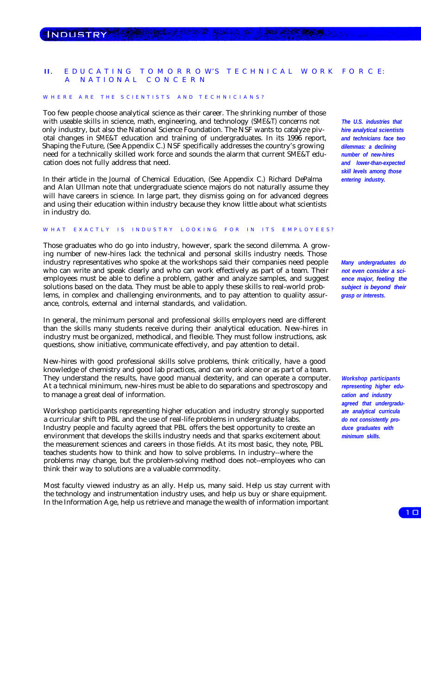# II. E DUCATING TOMORROW'S TECHNICAL WORK FORCE: A NATIONAL CONCERN

#### W HERE ARE THE SCIENTISTS AND TECHNICIANS?

Too few people choose analytical science as their career. The shrinking number of those with useable skills in science, math, engineering, and technology (SME&T) concerns not only industry, but also the National Science Foundation. The NSF wants to catalyze pivotal changes in SME&T education and training of undergraduates. In its 1996 report, Shaping the Future, (See Appendix C.) NSF specifically addresses the country's growing need for a technically skilled work force and sounds the alarm that current SME&T education does not fully address that need.

In their article in the Journal of Chemical Education, (See Appendix C.) Richard DePalma and Alan Ullman note that undergraduate science majors do not naturally assume they will have careers in science. In large part, they dismiss going on for advanced degrees and using their education within industry because they know little about what scientists in industry do.

# W HAT EXACTLY IS INDUSTRY LOOKING FOR IN ITS EMPLOYEES?

Those graduates who do go into industry, however, spark the second dilemma. A growing number of new-hires lack the technical and personal skills industry needs. Those industry representatives who spoke at the workshops said their companies need people who can write and speak clearly and who can work effectively as part of a team. Their employees must be able to define a problem, gather and analyze samples, and suggest solutions based on the data. They must be able to apply these skills to real-world problems, in complex and challenging environments, and to pay attention to quality assurance, controls, external and internal standards, and validation.

In general, the minimum personal and professional skills employers need are different than the skills many students receive during their analytical education. New-hires in industry must be organized, methodical, and flexible. They must follow instructions, ask questions, show initiative, communicate effectively, and pay attention to detail.

New-hires with good professional skills solve problems, think critically, have a good knowledge of chemistry and good lab practices, and can work alone or as part of a team. They understand the results, have good manual dexterity, and can operate a computer. At a technical minimum, new-hires must be able to do separations and spectroscopy and to manage a great deal of information.

Workshop participants representing higher education and industry strongly supported a curricular shift to PBL and the use of real-life problems in undergraduate labs. Industry people and faculty agreed that PBL offers the best opportunity to create an environment that develops the skills industry needs and that sparks excitement about the measurement sciences and careers in those fields. At its most basic, they note, PBL teaches students how to think and how to solve problems. In industry--where the problems may change, but the problem-solving method does not--employees who can think their way to solutions are a valuable commodity.

Most faculty viewed industry as an ally. Help us, many said. Help us stay current with the technology and instrumentation industry uses, and help us buy or share equipment. In the Information Age, help us retrieve and manage the wealth of information important

*The U.S. industries that hire analytical scientists and technicians face two dilemmas: a declining number of new-hires and lower-than-expected skill levels among those entering industry.*

*Many undergraduates do not even consider a science major, feeling the subject is beyond their grasp or interests.*

*Workshop participants representing higher education and industry agreed that undergraduate analytical curricula do not consistently produce graduates with minimum skills.*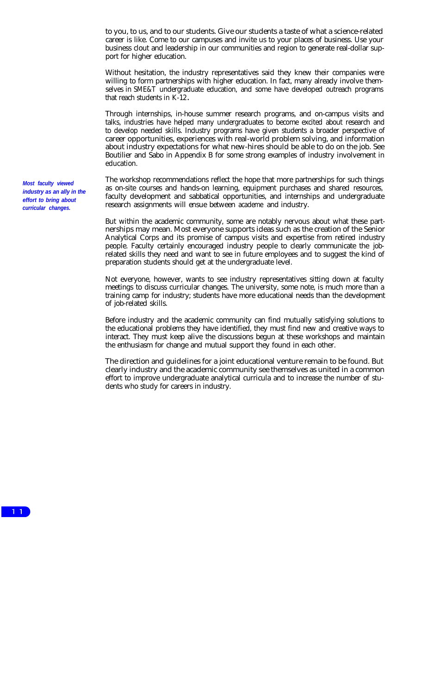to you, to us, and to our students. Give our students a taste of what a science-related career is like. Come to our campuses and invite us to your places of business. Use your business clout and leadership in our communities and region to generate real-dollar support for higher education.

Without hesitation, the industry representatives said they knew their companies were willing to form partnerships with higher education. In fact, many already involve themselves in SME&T undergraduate education, and some have developed outreach programs that reach students in K-12**.**

Through internships, in-house summer research programs, and on-campus visits and talks, industries have helped many undergraduates to become excited about research and to develop needed skills. Industry programs have given students a broader perspective of career opportunities, experiences with real-world problem solving, and information about industry expectations for what new-hires should be able to do on the job. See Boutilier and Sabo in Appendix B for some strong examples of industry involvement in education.

The workshop recommendations reflect the hope that more partnerships for such things as on-site courses and hands-on learning, equipment purchases and shared resources, faculty development and sabbatical opportunities, and internships and undergraduate research assignments will ensue between academe and industry.

But within the academic community, some are notably nervous about what these partnerships may mean. Most everyone supports ideas such as the creation of the Senior Analytical Corps and its promise of campus visits and expertise from retired industry people. Faculty certainly encouraged industry people to clearly communicate the jobrelated skills they need and want to see in future employees and to suggest the kind of preparation students should get at the undergraduate level.

Not everyone, however, wants to see industry representatives sitting down at faculty meetings to discuss curricular changes. The university, some note, is much more than a training camp for industry; students have more educational needs than the development of job-related skills.

Before industry and the academic community can find mutually satisfying solutions to the educational problems they have identified, they must find new and creative ways to interact. They must keep alive the discussions begun at these workshops and maintain the enthusiasm for change and mutual support they found in each other.

The direction and guidelines for a joint educational venture remain to be found. But clearly industry and the academic community see themselves as united in a common effort to improve undergraduate analytical curricula and to increase the number of students who study for careers in industry.

*Most faculty viewed industry as an ally in the effort to bring about curricular changes.*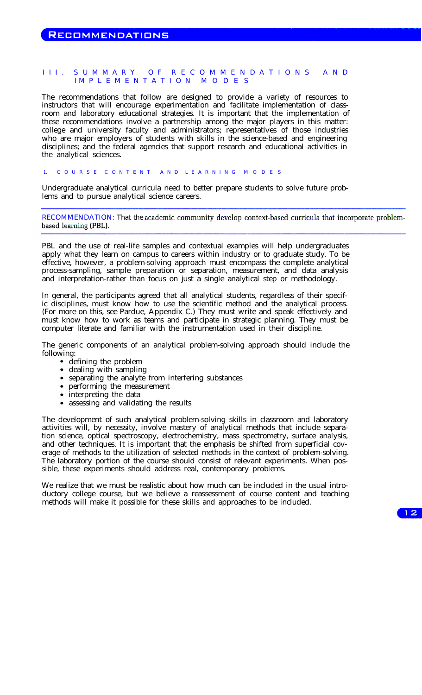# III. SUMMARY OF RECOMMENDATIONS AND IMPLEMENTATION MODES

The recommendations that follow are designed to provide a variety of resources to instructors that will encourage experimentation and facilitate implementation of classroom and laboratory educational strategies. It is important that the implementation of these recommendations involve a partnership among the major players in this matter: college and university faculty and administrators; representatives of those industries who are major employers of students with skills in the science-based and engineering disciplines; and the federal agencies that support research and educational activities in the analytical sciences.

# 1. C OURS E C ONTENT AN D L EARNIN G M ODES

Undergraduate analytical curricula need to better prepare students to solve future problems and to pursue analytical science careers.

RECOMMENDATION: That the academic community develop context-based curricula that incorporate problembased learning (PBL).

PBL and the use of real-life samples and contextual examples will help undergraduates apply what they learn on campus to careers within industry or to graduate study. To be effective, however, a problem-solving approach must encompass the complete analytical process-sampling, sample preparation or separation, measurement, and data analysis and interpretation-rather than focus on just a single analytical step or methodology.

In general, the participants agreed that all analytical students, regardless of their specific disciplines, must know how to use the scientific method and the analytical process. (For more on this, see Pardue, Appendix C.) They must write and speak effectively and must know how to work as teams and participate in strategic planning. They must be computer literate and familiar with the instrumentation used in their discipline.

The generic components of an analytical problem-solving approach should include the following:

- defining the problem
- dealing with sampling
- separating the analyte from interfering substances
- performing the measurement
- interpreting the data
- assessing and validating the results

The development of such analytical problem-solving skills in classroom and laboratory activities will, by necessity, involve mastery of analytical methods that include separation science, optical spectroscopy, electrochemistry, mass spectrometry, surface analysis, and other techniques. It is important that the emphasis be shifted from superficial coverage of methods to the utilization of selected methods in the context of problem-solving. The laboratory portion of the course should consist of relevant experiments. When possible, these experiments should address real, contemporary problems.

We realize that we must be realistic about how much can be included in the usual introductory college course, but we believe a reassessment of course content and teaching methods will make it possible for these skills and approaches to be included.

 $12<sub>1</sub>$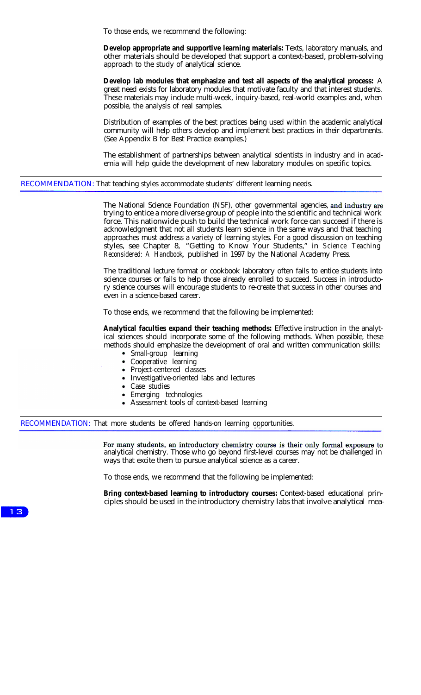To those ends, we recommend the following:

**Develop appropriate and supportive learning materials:** Texts, laboratory manuals, and other materials should be developed that support a context-based, problem-solving approach to the study of analytical science.

**Develop lab modules that emphasize and test all aspects of the analytical process:** A great need exists for laboratory modules that motivate faculty and that interest students. These materials may include multi-week, inquiry-based, real-world examples and, when possible, the analysis of real samples.

Distribution of examples of the best practices being used within the academic analytical community will help others develop and implement best practices in their departments. (See Appendix B for Best Practice examples.)

The establishment of partnerships between analytical scientists in industry and in academia will help guide the development of new laboratory modules on specific topics.

RECOMMENDATION: That teaching styles accommodate students' different learning needs.

The National Science Foundation (NSF), other governmental agencies, and industry are trying to entice a more diverse group of people into the scientific and technical work force. This nationwide push to build the technical work force can succeed if there is acknowledgment that not all students learn science in the same ways and that teaching approaches must address a variety of learning styles. For a good discussion on teaching styles, see Chapter 8, "Getting to Know Your Students," in *Science Teaching Reconsidered: A Handbook,* published in 1997 by the National Academy Press.

The traditional lecture format or cookbook laboratory often fails to entice students into science courses or fails to help those already enrolled to succeed. Success in introductory science courses will encourage students to re-create that success in other courses and even in a science-based career.

To those ends, we recommend that the following be implemented:

**Analytical faculties expand their teaching methods:** Effective instruction in the analytical sciences should incorporate some of the following methods. When possible, these methods should emphasize the development of oral and written communication skills:

- Small-group learning
- Cooperative learning
- Project-centered classes
- Investigative-oriented labs and lectures
- Case studies
- Emerging technologies
- Assessment tools of context-based learning

RECOMMENDATION: That more students be offered hands-on learning opportunities.

For many students, an introductory chemistry course is their only formal exposure to analytical chemistry. Those who go beyond first-level courses may not be challenged in ways that excite them to pursue analytical science as a career.

To those ends, we recommend that the following be implemented:

**Bring context-based learning to introductory courses:** Context-based educational principles should be used in the introductory chemistry labs that involve analytical mea-

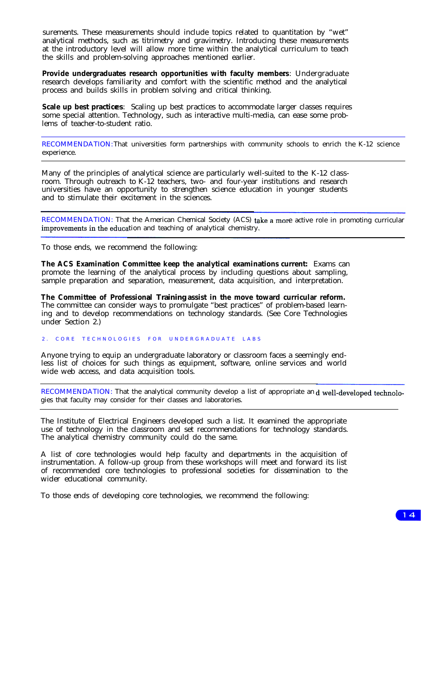surements. These measurements should include topics related to quantitation by "wet" analytical methods, such as titrimetry and gravimetry. Introducing these measurements at the introductory level will allow more time within the analytical curriculum to teach the skills and problem-solving approaches mentioned earlier.

Provide undergraduates research opportunities with faculty members: Undergraduate research develops familiarity and comfort with the scientific method and the analytical process and builds skills in problem solving and critical thinking.

**Scale up best practices**: Scaling up best practices to accommodate larger classes requires some special attention. Technology, such as interactive multi-media, can ease some problems of teacher-to-student ratio.

RECOMMENDATION: That universities form partnerships with community schools to enrich the K-12 science experience.

Many of the principles of analytical science are particularly well-suited to the K-12 classroom. Through outreach to K-12 teachers, two- and four-year institutions and research universities have an opportunity to strengthen science education in younger students and to stimulate their excitement in the sciences.

RECOMMENDATION: That the American Chemical Society (ACS) take a more active role in promoting curricular improvements in the education and teaching of analytical chemistry.

To those ends, we recommend the following:

**The ACS Examination Committee keep the analytical examinations current:** Exams can promote the learning of the analytical process by including questions about sampling, sample preparation and separation, measurement, data acquisition, and interpretation.

**The Committee of Professional Training assist in the move toward curricular reform.** The committee can consider ways to promulgate "best practices" of problem-based learning and to develop recommendations on technology standards. (See Core Technologies under Section 2.)

# 2. CORE TECHNOLOGIES FOR UNDERGRADUATE LABS

Anyone trying to equip an undergraduate laboratory or classroom faces a seemingly endless list of choices for such things as equipment, software, online services and world wide web access, and data acquisition tools.

RECOMMENDATION: That the analytical community develop a list of appropriate and well-developed technologies that faculty may consider for their classes and laboratories.

The Institute of Electrical Engineers developed such a list. It examined the appropriate use of technology in the classroom and set recommendations for technology standards. The analytical chemistry community could do the same.

A list of core technologies would help faculty and departments in the acquisition of instrumentation. A follow-up group from these workshops will meet and forward its list of recommended core technologies to professional societies for dissemination to the wider educational community.

To those ends of developing core technologies, we recommend the following:

 $14$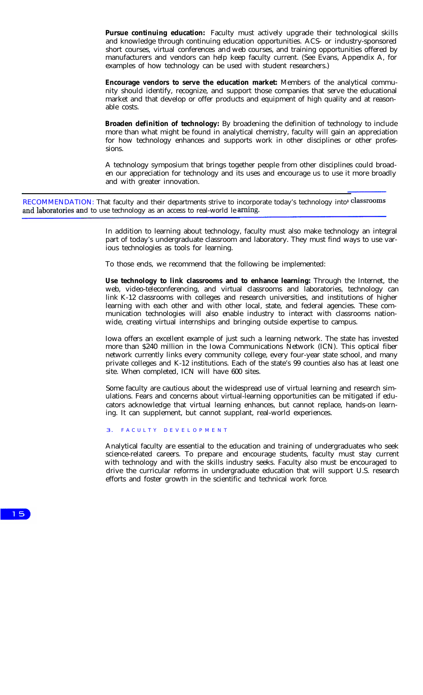**Pursue continuing education:** Faculty must actively upgrade their technological skills and knowledge through continuing education opportunities. ACS- or industry-sponsored short courses, virtual conferences and web courses, and training opportunities offered by manufacturers and vendors can help keep faculty current. (See Evans, Appendix A, for examples of how technology can be used with student researchers.)

**Encourage vendors to serve the education market:** Members of the analytical community should identify, recognize, and support those companies that serve the educational market and that develop or offer products and equipment of high quality and at reasonable costs.

**Broaden definition of technology:** By broadening the definition of technology to include more than what might be found in analytical chemistry, faculty will gain an appreciation for how technology enhances and supports work in other disciplines or other professions.

A technology symposium that brings together people from other disciplines could broaden our appreciation for technology and its uses and encourage us to use it more broadly and with greater innovation.

RECOMMENDATION: That faculty and their departments strive to incorporate today's technology into classrooms and laboratories and to use technology as an access to real-world le arning.

> In addition to learning about technology, faculty must also make technology an integral part of today's undergraduate classroom and laboratory. They must find ways to use various technologies as tools for learning.

To those ends, we recommend that the following be implemented:

**Use technology to link classrooms and to enhance learning:** Through the Internet, the web, video-teleconferencing, and virtual classrooms and laboratories, technology can link K-12 classrooms with colleges and research universities, and institutions of higher learning with each other and with other local, state, and federal agencies. These communication technologies will also enable industry to interact with classrooms nationwide, creating virtual internships and bringing outside expertise to campus.

Iowa offers an excellent example of just such a learning network. The state has invested more than \$240 million in the Iowa Communications Network (ICN). This optical fiber network currently links every community college, every four-year state school, and many private colleges and K-12 institutions. Each of the state's 99 counties also has at least one site. When completed, ICN will have 600 sites.

Some faculty are cautious about the widespread use of virtual learning and research simulations. Fears and concerns about virtual-learning opportunities can be mitigated if educators acknowledge that virtual learning enhances, but cannot replace, hands-on learning. It can supplement, but cannot supplant, real-world experiences.

3. FACULTY DEVELOPMENT

Analytical faculty are essential to the education and training of undergraduates who seek science-related careers. To prepare and encourage students, faculty must stay current with technology and with the skills industry seeks. Faculty also must be encouraged to drive the curricular reforms in undergraduate education that will support U.S. research efforts and foster growth in the scientific and technical work force.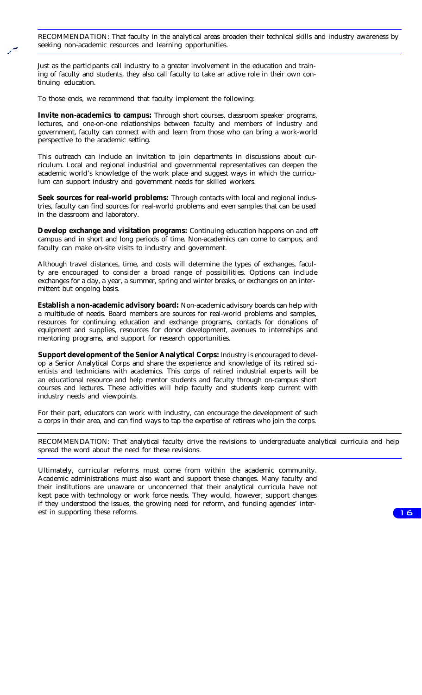RECOMMENDATION: That faculty in the analytical areas broaden their technical skills and industry awareness by seeking non-academic resources and learning opportunities.

Just as the participants call industry to a greater involvement in the education and training of faculty and students, they also call faculty to take an active role in their own continuing education.

To those ends, we recommend that faculty implement the following:

**Invite non-academics to campus:** Through short courses, classroom speaker programs, lectures, and one-on-one relationships between faculty and members of industry and government, faculty can connect with and learn from those who can bring a work-world perspective to the academic setting.

This outreach can include an invitation to join departments in discussions about curriculum. Local and regional industrial and governmental representatives can deepen the academic world's knowledge of the work place and suggest ways in which the curriculum can support industry and government needs for skilled workers.

**Seek sources for real-world problems:** Through contacts with local and regional industries, faculty can find sources for real-world problems and even samples that can be used in the classroom and laboratory.

**Develop exchange and visitation programs:** Continuing education happens on and off campus and in short and long periods of time. Non-academics can come to campus, and faculty can make on-site visits to industry and government.

Although travel distances, time, and costs will determine the types of exchanges, faculty are encouraged to consider a broad range of possibilities. Options can include exchanges for a day, a year, a summer, spring and winter breaks, or exchanges on an intermittent but ongoing basis.

**Establish a non-academic advisory board:** Non-academic advisory boards can help with a multitude of needs. Board members are sources for real-world problems and samples, resources for continuing education and exchange programs, contacts for donations of equipment and supplies, resources for donor development, avenues to internships and mentoring programs, and support for research opportunities.

**Support development of the Senior Analytical Corps:** Industry is encouraged to develop a Senior Analytical Corps and share the experience and knowledge of its retired scientists and technicians with academics. This corps of retired industrial experts will be an educational resource and help mentor students and faculty through on-campus short courses and lectures. These activities will help faculty and students keep current with industry needs and viewpoints.

For their part, educators can work with industry, can encourage the development of such a corps in their area, and can find ways to tap the expertise of retirees who join the corps.

RECOMMENDATION: That analytical faculty drive the revisions to undergraduate analytical curricula and help spread the word about the need for these revisions.

Ultimately, curricular reforms must come from within the academic community. Academic administrations must also want and support these changes. Many faculty and their institutions are unaware or unconcerned that their analytical curricula have not kept pace with technology or work force needs. They would, however, support changes if they understood the issues, the growing need for reform, and funding agencies' interest in supporting these reforms.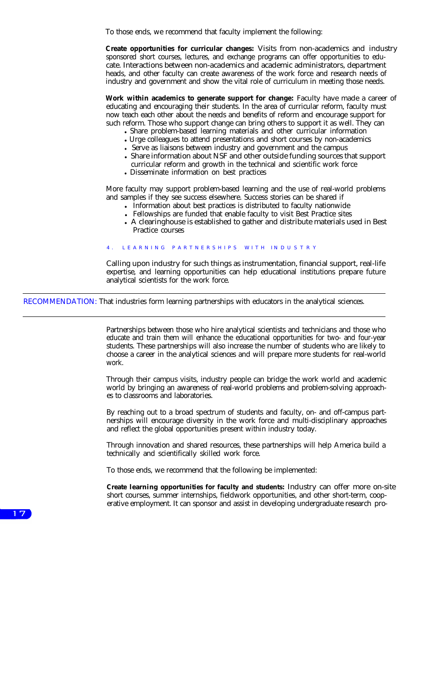To those ends, we recommend that faculty implement the following:

**Create opportunities for curricular changes:** Visits from non-academics and industry sponsored short courses, lectures, and exchange programs can offer opportunities to educate. Interactions between non-academics and academic administrators, department heads, and other faculty can create awareness of the work force and research needs of industry and government and show the vital role of curriculum in meeting those needs.

**Work within academics to generate support for change:** Faculty have made a career of educating and encouraging their students. In the area of curricular reform, faculty must now teach each other about the needs and benefits of reform and encourage support for such reform. Those who support change can bring others to support it as well. They can

- Share problem-based learning materials and other curricular information
- Urge colleagues to attend presentations and short courses by non-academics
- Serve as liaisons between industry and government and the campus
- Share information about NSF and other outside funding sources that support curricular reform and growth in the technical and scientific work force
- Disseminate information on best practices

More faculty may support problem-based learning and the use of real-world problems and samples if they see success elsewhere. Success stories can be shared if

- Information about best practices is distributed to faculty nationwide
- Fellowships are funded that enable faculty to visit Best Practice sites
- A clearinghouse is established to gather and distribute materials used in Best Practice courses

# LEARNING PARTNERSHIPS WITH INDUSTRY

Calling upon industry for such things as instrumentation, financial support, real-life expertise, and learning opportunities can help educational institutions prepare future analytical scientists for the work force.

RECOMMENDATION: That industries form learning partnerships with educators in the analytical sciences.

Partnerships between those who hire analytical scientists and technicians and those who educate and train them will enhance the educational opportunities for two- and four-year students. These partnerships will also increase the number of students who are likely to choose a career in the analytical sciences and will prepare more students for real-world work.

Through their campus visits, industry people can bridge the work world and academic world by bringing an awareness of real-world problems and problem-solving approaches to classrooms and laboratories.

By reaching out to a broad spectrum of students and faculty, on- and off-campus partnerships will encourage diversity in the work force and multi-disciplinary approaches and reflect the global opportunities present within industry today.

Through innovation and shared resources, these partnerships will help America build a technically and scientifically skilled work force.

To those ends, we recommend that the following be implemented:

**Create learning opportunities for faculty and students:** Industry can offer more on-site short courses, summer internships, fieldwork opportunities, and other short-term, cooperative employment. It can sponsor and assist in developing undergraduate research pro-

 $17$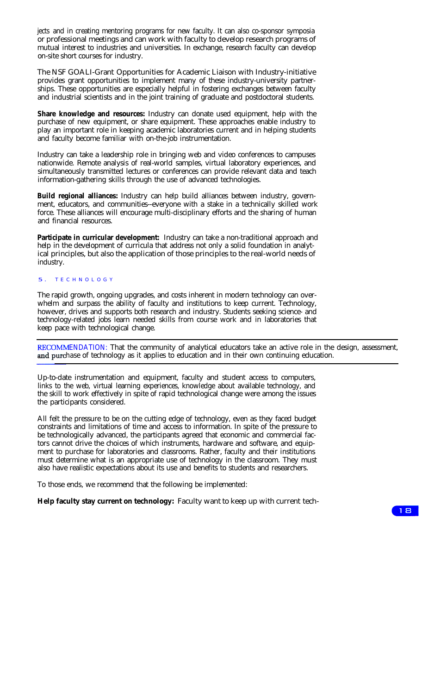jects and in creating mentoring programs for new faculty. It can also co-sponsor symposia or professional meetings and can work with faculty to develop research programs of mutual interest to industries and universities. In exchange, research faculty can develop on-site short courses for industry.

The NSF GOALI-Grant Opportunities for Academic Liaison with Industry-initiative provides grant opportunities to implement many of these industry-university partnerships. These opportunities are especially helpful in fostering exchanges between faculty and industrial scientists and in the joint training of graduate and postdoctoral students.

**Share knowledge and resources:** Industry can donate used equipment, help with the purchase of new equipment, or share equipment. These approaches enable industry to play an important role in keeping academic laboratories current and in helping students and faculty become familiar with on-the-job instrumentation.

Industry can take a leadership role in bringing web and video conferences to campuses nationwide. Remote analysis of real-world samples, virtual laboratory experiences, and simultaneously transmitted lectures or conferences can provide relevant data and teach information-gathering skills through the use of advanced technologies.

**Build regional alliances:** Industry can help build alliances between industry, government, educators, and communities--everyone with a stake in a technically skilled work force. These alliances will encourage multi-disciplinary efforts and the sharing of human and financial resources.

Participate in curricular development: Industry can take a non-traditional approach and help in the development of curricula that address not only a solid foundation in analytical principles, but also the application of those principles to the real-world needs of industry.

#### 5. TECHNOLOGY

The rapid growth, ongoing upgrades, and costs inherent in modern technology can overwhelm and surpass the ability of faculty and institutions to keep current. Technology, however, drives and supports both research and industry. Students seeking science- and technology-related jobs learn needed skills from course work and in laboratories that keep pace with technological change.

RECOMMENDATION: That the community of analytical educators take an active role in the design, assessment, and purchase of technology as it applies to education and in their own continuing education.

Up-to-date instrumentation and equipment, faculty and student access to computers, links to the web, virtual learning experiences, knowledge about available technology, and the skill to work effectively in spite of rapid technological change were among the issues the participants considered.

All felt the pressure to be on the cutting edge of technology, even as they faced budget constraints and limitations of time and access to information. In spite of the pressure to be technologically advanced, the participants agreed that economic and commercial factors cannot drive the choices of which instruments, hardware and software, and equipment to purchase for laboratories and classrooms. Rather, faculty and their institutions must determine what is an appropriate use of technology in the classroom. They must also have realistic expectations about its use and benefits to students and researchers.

To those ends, we recommend that the following be implemented:

**Help faculty stay current on technology:** Faculty want to keep up with current tech-

 $18$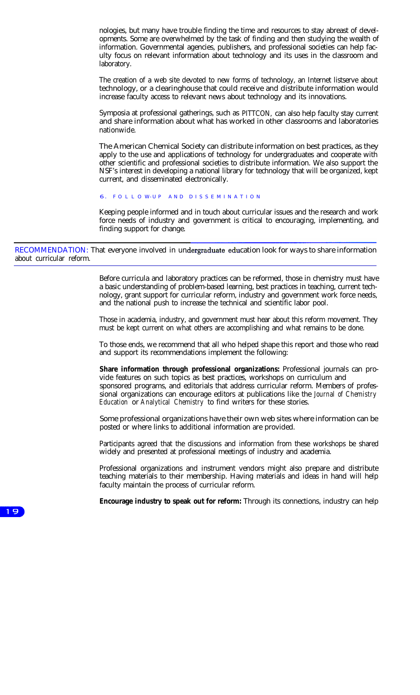nologies, but many have trouble finding the time and resources to stay abreast of developments. Some are overwhelmed by the task of finding and then studying the wealth of information. Governmental agencies, publishers, and professional societies can help faculty focus on relevant information about technology and its uses in the classroom and laboratory.

The creation of a web site devoted to new forms of technology, an Internet listserve about technology, or a clearinghouse that could receive and distribute information would increase faculty access to relevant news about technology and its innovations.

Symposia at professional gatherings, such as PITTCON, can also help faculty stay current and share information about what has worked in other classrooms and laboratories nationwide.

The American Chemical Society can distribute information on best practices, as they apply to the use and applications of technology for undergraduates and cooperate with other scientific and professional societies to distribute information. We also support the NSF's interest in developing a national library for technology that will be organized, kept current, and disseminated electronically.

6. FOLLOW-UP AND DISSEMINATION

Keeping people informed and in touch about curricular issues and the research and work force needs of industry and government is critical to encouraging, implementing, and finding support for change.

RECOMMENDATION: That everyone involved in undergraduate education look for ways to share information about curricular reform.

> Before curricula and laboratory practices can be reformed, those in chemistry must have a basic understanding of problem-based learning, best practices in teaching, current technology, grant support for curricular reform, industry and government work force needs, and the national push to increase the technical and scientific labor pool.

> Those in academia, industry, and government must hear about this reform movement. They must be kept current on what others are accomplishing and what remains to be done.

> To those ends, we recommend that all who helped shape this report and those who read and support its recommendations implement the following:

> **Share information through professional organizations:** Professional journals can provide features on such topics as best practices, workshops on curriculum and sponsored programs, and editorials that address curricular reform. Members of professional organizations can encourage editors at publications like the *Journal of Chemistry Education* or *Analytical Chemistry* to find writers for these stories.

> Some professional organizations have their own web sites where information can be posted or where links to additional information are provided.

> Participants agreed that the discussions and information from these workshops be shared widely and presented at professional meetings of industry and academia.

> Professional organizations and instrument vendors might also prepare and distribute teaching materials to their membership. Having materials and ideas in hand will help faculty maintain the process of curricular reform.

> **Encourage industry to speak out for reform:** Through its connections, industry can help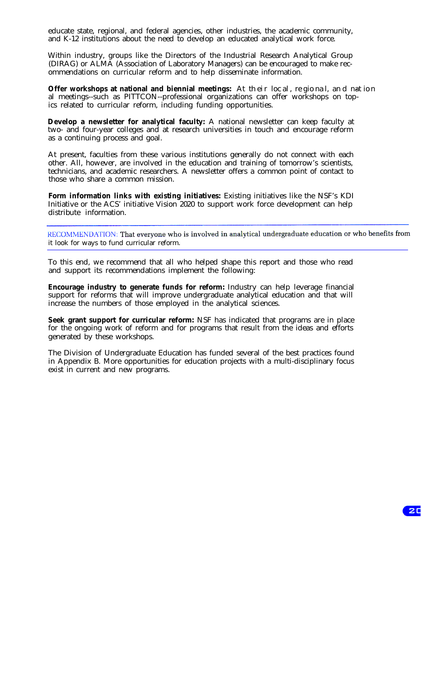educate state, regional, and federal agencies, other industries, the academic community, and K-12 institutions about the need to develop an educated analytical work force.

Within industry, groups like the Directors of the Industrial Research Analytical Group (DIRAG) or ALMA (Association of Laboratory Managers) can be encouraged to make recommendations on curricular reform and to help disseminate information.

**Offer workshops at national and biennial meetings:** At their loc al, re gio na l, an d nat ion al meetings--such as PITTCON--professional organizations can offer workshops on topics related to curricular reform, including funding opportunities.

**Develop a newsletter for analytical faculty:** A national newsletter can keep faculty at two- and four-year colleges and at research universities in touch and encourage reform as a continuing process and goal.

At present, faculties from these various institutions generally do not connect with each other. All, however, are involved in the education and training of tomorrow's scientists, technicians, and academic researchers. A newsletter offers a common point of contact to those who share a common mission.

**Form information links with existing initiatives:** Existing initiatives like the NSF's KDI Initiative or the ACS' initiative Vision 2020 to support work force development can help distribute information.

RECOMMENDATION: That everyone who is involved in analytical undergraduate education or who benefits from it look for ways to fund curricular reform.

To this end, we recommend that all who helped shape this report and those who read and support its recommendations implement the following:

**Encourage industry to generate funds for reform:** Industry can help leverage financial support for reforms that will improve undergraduate analytical education and that will increase the numbers of those employed in the analytical sciences.

**Seek grant support for curricular reform:** NSF has indicated that programs are in place for the ongoing work of reform and for programs that result from the ideas and efforts generated by these workshops.

The Division of Undergraduate Education has funded several of the best practices found in Appendix B. More opportunities for education projects with a multi-disciplinary focus exist in current and new programs.

 $ZC$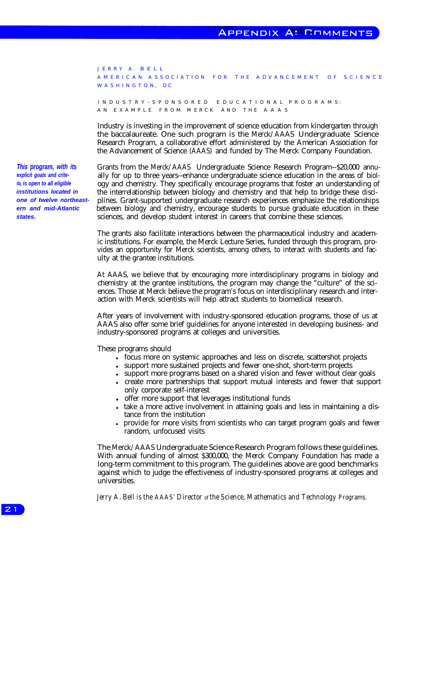JERRY A. BELL A MERICAN ASSOCIATION FOR THE ADVANCEMENT OF SCIENCE W A S H I N G T O N, DC

INDUSTRY-SPONSORED EDUCATIONAL PROGRAMS: AN EXAMPLE FROM MERCK AND THE AAAS

Industry is investing in the improvement of science education from kindergarten through the baccalaureate. One such program is the Merck/AAAS Undergraduate Science Research Program, a collaborative effort administered by the American Association for the Advancement of Science (AAAS) and funded by The Merck Company Foundation.

*This program, with its* Grants from the Merck/AAAS Undergraduate Science Research Program--\$20,000 annu*explicit goals and crite-* ally for up to three years--enhance undergraduate science education in the areas of biol-<br>*ia, is open to all eligible* ogy and chemistry. They specifically encourage programs that foster an und *ria, is open to all eligible* ogy and chemistry. They specifically encourage programs that foster an understanding of *institutions located in* the interrelationship between biology and chemistry and that help to bridge *institutions located in* the interrelationship between biology and chemistry and that help to bridge these disci-<br>one of twelve northeast-<br>plines. Grant-supported undergraduate research experiences emphasize the relations **one of twelve northeast-** plines. Grant-supported undergraduate research experiences emphasize the relationships **ern** and mid-Atlantic between biology and chemistry, encourage students to pursue graduate education in the between biology and chemistry, encourage students to pursue graduate education in these **states.** sciences, and develop student interest in careers that combine these sciences.

> The grants also facilitate interactions between the pharmaceutical industry and academic institutions. For example, the Merck Lecture Series, funded through this program, provides an opportunity for Merck scientists, among others, to interact with students and faculty at the grantee institutions.

> At AAAS, we believe that by encouraging more interdisciplinary programs in biology and chemistry at the grantee institutions, the program may change the "culture" of the sciences. Those at Merck believe the program's focus on interdisciplinary research and interaction with Merck scientists will help attract students to biomedical research.

> After years of involvement with industry-sponsored education programs, those of us at AAAS also offer some brief guidelines for anyone interested in developing business- and industry-sponsored programs at colleges and universities.

These programs should

- <sup>l</sup> focus more on systemic approaches and less on discrete, scattershot projects
- support more sustained projects and fewer one-shot, short-term projects
- support more programs based on a shared vision and fewer without clear goals
- <sup>l</sup> create more partnerships that support mutual interests and fewer that support only corporate self-interest
- offer more support that leverages institutional funds
- take a more active involvement in attaining goals and less in maintaining a distance from the institution
- provide for more visits from scientists who can target program goals and fewer random, unfocused visits

The Merck/AAAS Undergraduate Science Research Program follows these guidelines. With annual funding of almost \$300,000, the Merck Company Foundation has made a long-term commitment to this program. The guidelines above are good benchmarks against which to judge the effectiveness of industry-sponsored programs at colleges and universities.

*Jerry A. Bell is the AAAS' Director of the Science, Mathematics and Technology Programs.*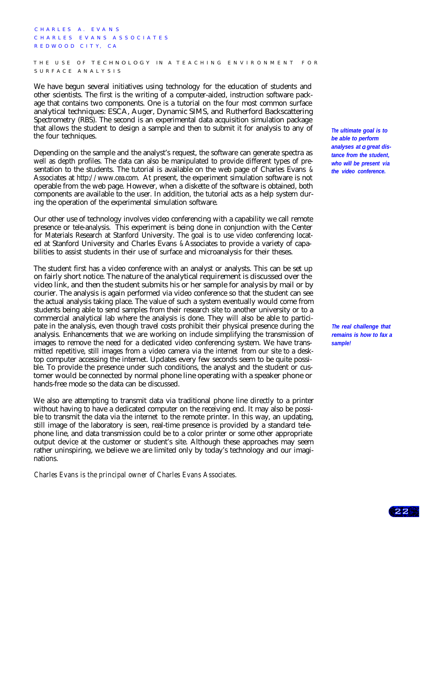CHARLES A. EVANS C HARLES EVANS ASSOCIATES REDWOOD CITY, CA

THE USE OF TECHNOLOGY IN A TEACHING ENVIRONMENT FOR S URFAC E A NALYSIS

We have begun several initiatives using technology for the education of students and other scientists. The first is the writing of a computer-aided, instruction software package that contains two components. One is a tutorial on the four most common surface analytical techniques: ESCA, Auger, Dynamic SIMS, and Rutherford Backscattering Spectrometry (RBS). The second is an experimental data acquisition simulation package that allows the student to design a sample and then to submit it for analysis to any of the four techniques.

Depending on the sample and the analyst's request, the software can generate spectra as well as depth profiles. The data can also be manipulated to provide different types of presentation to the students. The tutorial is available on the web page of Charles Evans & Associates at http://www.cea.com. At present, the experiment simulation software is not operable from the web page. However, when a diskette of the software is obtained, both components are available to the user. In addition, the tutorial acts as a help system during the operation of the experimental simulation software.

Our other use of technology involves video conferencing with a capability we call remote presence or tele-analysis. This experiment is being done in conjunction with the Center for Materials Research at Stanford University. The goal is to use video conferencing located at Stanford University and Charles Evans & Associates to provide a variety of capabilities to assist students in their use of surface and microanalysis for their theses.

The student first has a video conference with an analyst or analysts. This can be set up on fairly short notice. The nature of the analytical requirement is discussed over the video link, and then the student submits his or her sample for analysis by mail or by courier. The analysis is again performed via video conference so that the student can see the actual analysis taking place. The value of such a system eventually would come from students being able to send samples from their research site to another university or to a commercial analytical lab where the analysis is done. They will also be able to participate in the analysis, even though travel costs prohibit their physical presence during the analysis. Enhancements that we are working on include simplifying the transmission of images to remove the need for a dedicated video conferencing system. We have transmitted repetitive, still images from a video camera via the internet from our site to a desktop computer accessing the internet. Updates every few seconds seem to be quite possible. To provide the presence under such conditions, the analyst and the student or customer would be connected by normal phone line operating with a speaker phone or hands-free mode so the data can be discussed.

We also are attempting to transmit data via traditional phone line directly to a printer without having to have a dedicated computer on the receiving end. It may also be possible to transmit the data via the internet to the remote printer. In this way, an updating, still image of the laboratory is seen, real-time presence is provided by a standard telephone line, and data transmission could be to a color printer or some other appropriate output device at the customer or student's site. Although these approaches may seem rather uninspiring, we believe we are limited only by today's technology and our imaginations.

*Charles Evans is the principal owner of Charles Evans Associates.*

*The ultimate goal is to be able to perform analyses at great distance from the student, who will be present via the video conference.*

*The real challenge that remains is how to fax a sample!*

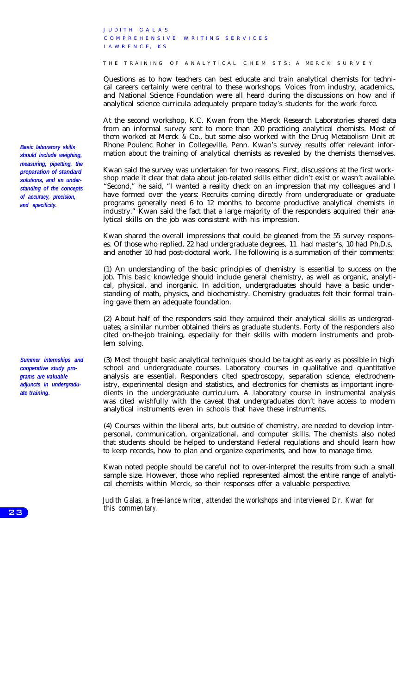J U D I T H G A L A S COMPREHENSIVE WRITING SERVICES LAWRENCE KS

THE TRAINING OF ANALYTICAL CHEMISTS: A MERCK SURVEY

Questions as to how teachers can best educate and train analytical chemists for technical careers certainly were central to these workshops. Voices from industry, academics, and National Science Foundation were all heard during the discussions on how and if analytical science curricula adequately prepare today's students for the work force.

At the second workshop, K.C. Kwan from the Merck Research Laboratories shared data from an informal survey sent to more than 200 practicing analytical chemists. Most of them worked at Merck & Co., but some also worked with the Drug Metabolism Unit at Rhone Poulenc Roher in Collegeville, Penn. Kwan's survey results offer relevant information about the training of analytical chemists as revealed by the chemists themselves.

Kwan said the survey was undertaken for two reasons. First, discussions at the first workshop made it clear that data about job-related skills either didn't exist or wasn't available. "Second," he said, "I wanted a reality check on an impression that my colleagues and I have formed over the years: Recruits coming directly from undergraduate or graduate programs generally need 6 to 12 months to become productive analytical chemists in industry." Kwan said the fact that a large majority of the responders acquired their analytical skills on the job was consistent with his impression.

Kwan shared the overall impressions that could be gleaned from the 55 survey responses. Of those who replied, 22 had undergraduate degrees, 11 had master's, 10 had Ph.D.s, and another 10 had post-doctoral work. The following is a summation of their comments:

(1) An understanding of the basic principles of chemistry is essential to success on the job. This basic knowledge should include general chemistry, as well as organic, analytical, physical, and inorganic. In addition, undergraduates should have a basic understanding of math, physics, and biochemistry. Chemistry graduates felt their formal training gave them an adequate foundation.

(2) About half of the responders said they acquired their analytical skills as undergraduates; a similar number obtained theirs as graduate students. Forty of the responders also cited on-the-job training, especially for their skills with modern instruments and problem solving.

(3) Most thought basic analytical techniques should be taught as early as possible in high school and undergraduate courses. Laboratory courses in qualitative and quantitative analysis are essential. Responders cited spectroscopy, separation science, electrochemistry, experimental design and statistics, and electronics for chemists as important ingredients in the undergraduate curriculum. A laboratory course in instrumental analysis was cited wishfully with the caveat that undergraduates don't have access to modern analytical instruments even in schools that have these instruments.

(4) Courses within the liberal arts, but outside of chemistry, are needed to develop interpersonal, communication, organizational, and computer skills. The chemists also noted that students should be helped to understand Federal regulations and should learn how to keep records, how to plan and organize experiments, and how to manage time.

Kwan noted people should be careful not to over-interpret the results from such a small sample size. However, those who replied represented almost the entire range of analytical chemists within Merck, so their responses offer a valuable perspective.

*Judith Galas, a free-lance writer, attended the workshops and interviewed Dr. Kwan for this commen tary.*

*Basic laboratory skills should include weighing, measuring, pipetting, the preparation of standard solutions, and an understanding of the concepts of accuracy, precision, and specificity.*

*Summer internships and cooperative study pro**grams are valuable adjuncts in undergraduate training.*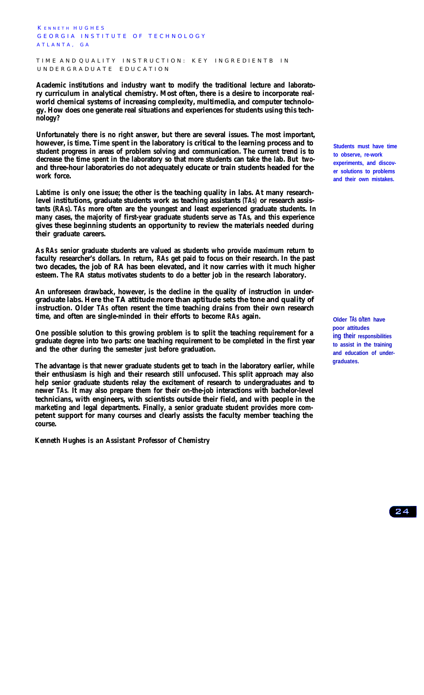K ENNETH HUGHES GEORGIA INSTITUTE OF TECHNOLOGY ATLANTA GA

TIME AND QUALITY INSTRUCTION: KEY INGREDIENTB IN UNDERGRADUATE EDUCATION

**Academic institutions and industry want to modify the traditional lecture and laboratory curriculum in analytical chemistry. Most often, there is a desire to incorporate realworld chemical systems of increasing complexity, multimedia, and computer technology. How does one generate real situations and experiences for students using this technology?**

**Unfortunately there is no right answer, but there are several issues. The most important, however, is time. Time spent in the laboratory is critical to the learning process and to student progress in areas of problem solving and communication. The current trend is to decrease the time spent in the laboratory so that more students can take the lab. But twoand three-hour laboratories do not adequately educate or train students headed for the work force.**

**Labtime is only one issue; the other is the teaching quality in labs. At many researchlevel institutions, graduate students work as teaching assistants (TAs) or research assistants (RAs). TAs more often are the youngest and least experienced graduate students. In many cases, the majority of first-year graduate students serve as TAs, and this experience gives these beginning students an opportunity to review the materials needed during their graduate careers.**

**As RAs senior graduate students are valued as students who provide maximum return to faculty researcher's dollars. In return, RAs get paid to focus on their research. In the past two decades, the job of RA has been elevated, and it now carries with it much higher esteem. The RA status motivates students to do a better job in the research laboratory.**

**An unforeseen drawback, however, is the decline in the quality of instruction in undergraduate labs. Here the TA attitude more than aptitude sets the tone and quality of instruction. Older TAs often resent the time teaching drains from their own research time, and often are single-minded in their efforts to become RAs again.**

**One possible solution to this growing problem is to split the teaching requirement for a graduate degree into two parts: one teaching requirement to be completed in the first year and the other during the semester just before graduation.**

**The advantage is that newer graduate students get to teach in the laboratory earlier, while their enthusiasm is high and their research still unfocused. This split approach may also help senior graduate students relay the excitement of research to undergraduates and to newer TAs. It may also prepare them for their on-the-job interactions with bachelor-level technicians, with engineers, with scientists outside their field, and with people in the marketing and legal departments. Finally, a senior graduate student provides more competent support for many courses and clearly assists the faculty member teaching the course.**

*Kenneth Hughes is an Assistant Professor of Chemistry*

**Students must have time to observe, re-work experiments, and discover solutions to problems and their own mistakes.**

**Older TAs o/ten have** poor attitudes **ing their responsibilities to assist in the training and education of undergraduates.**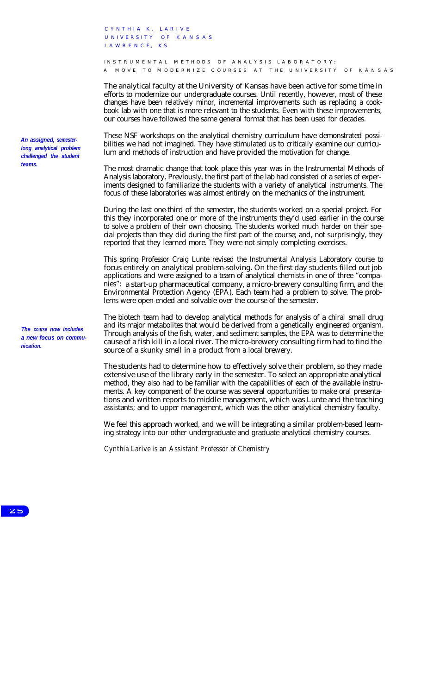C YNTHIA K. LARIVE U NIVERSITY OF KANSAS L A W R E N C E, K S

INSTRUMENTAL METHODS OF ANALYSIS LABORATORY: A MOVE TO MODERNIZE COURSES AT THE UNIVERSITY OF KANSAS

The analytical faculty at the University of Kansas have been active for some time in efforts to modernize our undergraduate courses. Until recently, however, most of these changes have been relatively minor, incremental improvements such as replacing a cookbook lab with one that is more relevant to the students. Even with these improvements, our courses have followed the same general format that has been used for decades.

These NSF workshops on the analytical chemistry curriculum have demonstrated possibilities we had not imagined. They have stimulated us to critically examine our curriculum and methods of instruction and have provided the motivation for change.

The most dramatic change that took place this year was in the Instrumental Methods of Analysis laboratory. Previously, the first part of the lab had consisted of a series of experiments designed to familiarize the students with a variety of analytical instruments. The focus of these laboratories was almost entirely on the mechanics of the instrument.

During the last one-third of the semester, the students worked on a special project. For this they incorporated one or more of the instruments they'd used earlier in the course to solve a problem of their own choosing. The students worked much harder on their special projects than they did during the first part of the course; and, not surprisingly, they reported that they learned more. They were not simply completing exercises.

This spring Professor Craig Lunte revised the Instrumental Analysis Laboratory course to focus entirely on analytical problem-solving. On the first day students filled out job applications and were assigned to a team of analytical chemists in one of three "companies": a start-up pharmaceutical company, a micro-brewery consulting firm, and the Environmental Protection Agency (EPA). Each team had a problem to solve. The problems were open-ended and solvable over the course of the semester.

The biotech team had to develop analytical methods for analysis of a chiral small drug and its major metabolites that would be derived from a genetically engineered organism. Through analysis of the fish, water, and sediment samples, the EPA was to determine the cause of a fish kill in a local river. The micro-brewery consulting firm had to find the source of a skunky smell in a product from a local brewery.

The students had to determine how to effectively solve their problem, so they made extensive use of the library early in the semester. To select an appropriate analytical method, they also had to be familiar with the capabilities of each of the available instruments. A key component of the course was several opportunities to make oral presentations and written reports to middle management, which was Lunte and the teaching assistants; and to upper management, which was the other analytical chemistry faculty.

We feel this approach worked, and we will be integrating a similar problem-based learning strategy into our other undergraduate and graduate analytical chemistry courses.

*Cynthia Larive is an Assistant Professor of Chemistry*

*An assigned, semesterlong analytical problem challenged the student teams.*

*The course now includes a new focus on communication.*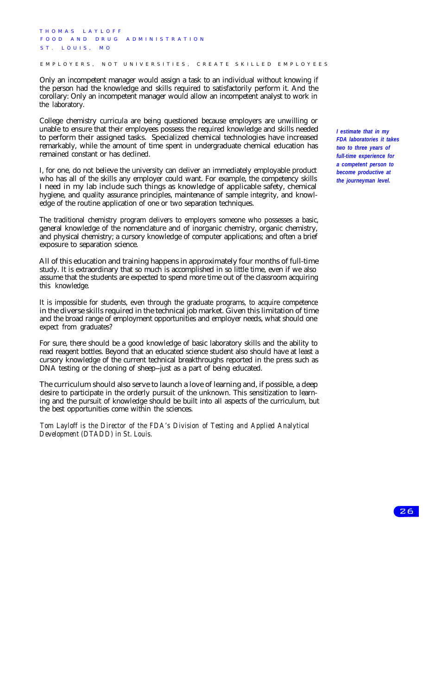THOMAS LAYLOFF FOOD AND DRUG ADMINISTRATION ST. LOUIS, MO

EMPLOYERS, NOT UNIVERSITIES, CREATE SKILLED EMPLOYEES

Only an incompetent manager would assign a task to an individual without knowing if the person had the knowledge and skills required to satisfactorily perform it. And the corollary: Only an incompetent manager would allow an incompetent analyst to work in the laboratory.

College chemistry curricula are being questioned because employers are unwilling or unable to ensure that their employees possess the required knowledge and skills needed to perform their assigned tasks. Specialized chemical technologies have increased remarkably, while the amount of time spent in undergraduate chemical education has remained constant or has declined.

I, for one, do not believe the university can deliver an immediately employable product who has all of the skills any employer could want. For example, the competency skills I need in my lab include such things as knowledge of applicable safety, chemical hygiene, and quality assurance principles, maintenance of sample integrity, and knowledge of the routine application of one or two separation techniques.

The traditional chemistry program delivers to employers someone who possesses a basic, general knowledge of the nomenclature and of inorganic chemistry, organic chemistry, and physical chemistry; a cursory knowledge of computer applications; and often a brief exposure to separation science.

All of this education and training happens in approximately four months of full-time study. It is extraordinary that so much is accomplished in so little time, even if we also assume that the students are expected to spend more time out of the classroom acquiring this knowledge.

It is impossible for students, even through the graduate programs, to acquire competence in the diverse skills required in the technical job market. Given this limitation of time and the broad range of employment opportunities and employer needs, what should one expect from graduates?

For sure, there should be a good knowledge of basic laboratory skills and the ability to read reagent bottles. Beyond that an educated science student also should have at least a cursory knowledge of the current technical breakthroughs reported in the press such as DNA testing or the cloning of sheep--just as a part of being educated.

The curriculum should also serve to launch a love of learning and, if possible, a deep desire to participate in the orderly pursuit of the unknown. This sensitization to learning and the pursuit of knowledge should be built into all aspects of the curriculum, but the best opportunities come within the sciences.

*Tom Layloff is the Director of the FDA's Division of Testing and Applied Analytical Development (DTADD) in St. Louis.*

*I estimate that in my FDA laboratories it takes two to three years of full-time experience for a competent person to become productive at the journeyman level.*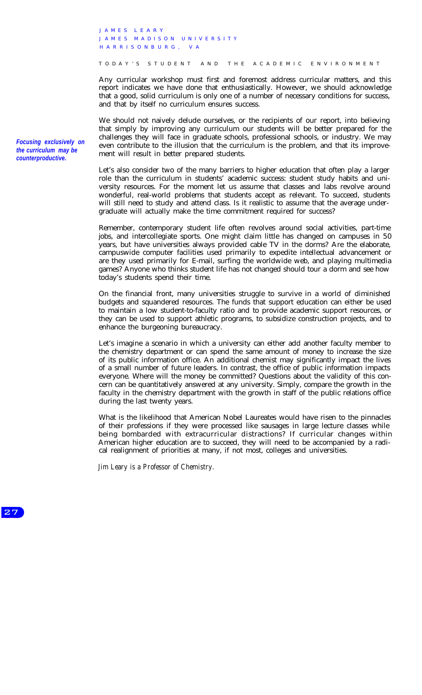J AME S LEARY JAMES MADISON UNIVERSITY HARRISONBURG , VA

TODAY'S STUDENT AND THE ACADEMIC ENVIRONMENT

Any curricular workshop must first and foremost address curricular matters, and this report indicates we have done that enthusiastically. However, we should acknowledge that a good, solid curriculum is only one of a number of necessary conditions for success, and that by itself no curriculum ensures success.

We should not naively delude ourselves, or the recipients of our report, into believing that simply by improving any curriculum our students will be better prepared for the challenges they will face in graduate schools, professional schools, or industry. We may even contribute to the illusion that the curriculum is the problem, and that its improvement will result in better prepared students.

Let's also consider two of the many barriers to higher education that often play a larger role than the curriculum in students' academic success: student study habits and university resources. For the moment let us assume that classes and labs revolve around wonderful, real-world problems that students accept as relevant. To succeed, students will still need to study and attend class. Is it realistic to assume that the average undergraduate will actually make the time commitment required for success?

Remember, contemporary student life often revolves around social activities, part-time jobs, and intercollegiate sports. One might claim little has changed on campuses in 50 years, but have universities always provided cable TV in the dorms? Are the elaborate, campuswide computer facilities used primarily to expedite intellectual advancement or are they used primarily for E-mail, surfing the worldwide web, and playing multimedia games? Anyone who thinks student life has not changed should tour a dorm and see how today's students spend their time.

On the financial front, many universities struggle to survive in a world of diminished budgets and squandered resources. The funds that support education can either be used to maintain a low student-to-faculty ratio and to provide academic support resources, or they can be used to support athletic programs, to subsidize construction projects, and to enhance the burgeoning bureaucracy.

Let's imagine a scenario in which a university can either add another faculty member to the chemistry department or can spend the same amount of money to increase the size of its public information office. An additional chemist may significantly impact the lives of a small number of future leaders. In contrast, the office of public information impacts everyone. Where will the money be committed? Questions about the validity of this concern can be quantitatively answered at any university. Simply, compare the growth in the faculty in the chemistry department with the growth in staff of the public relations office during the last twenty years.

What is the likelihood that American Nobel Laureates would have risen to the pinnacles of their professions if they were processed like sausages in large lecture classes while being bombarded with extracurricular distractions? If curricular changes within American higher education are to succeed, they will need to be accompanied by a radical realignment of priorities at many, if not most, colleges and universities.

*Jim Leary is a Professor of Chemistry.*

*Focusing exclusively on the curriculum may be counterproductive.*

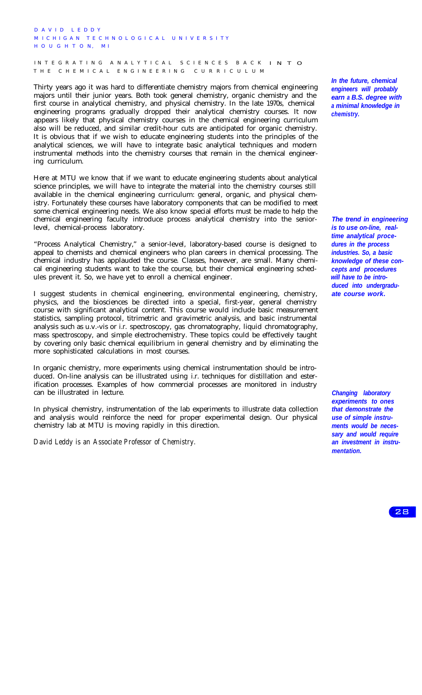D A V I D L E D D Y M ICHIGAN TECHNOLOGICAL UNIVERSITY H OUGHTO N, MI

INTEGRATING ANALYTICAL SCIENCES BACK INTO THE CHEMICAL ENGINEERING CURRICULUM

Thirty years ago it was hard to differentiate chemistry majors from chemical engineering majors until their junior years. Both took general chemistry, organic chemistry and the first course in analytical chemistry, and physical chemistry. In the late 1970s, chemical engineering programs gradually dropped their analytical chemistry courses. It now appears likely that physical chemistry courses in the chemical engineering curriculum also will be reduced, and similar credit-hour cuts are anticipated for organic chemistry. It is obvious that if we wish to educate engineering students into the principles of the analytical sciences, we will have to integrate basic analytical techniques and modern instrumental methods into the chemistry courses that remain in the chemical engineering curriculum.

Here at MTU we know that if we want to educate engineering students about analytical science principles, we will have to integrate the material into the chemistry courses still available in the chemical engineering curriculum: general, organic, and physical chemistry. Fortunately these courses have laboratory components that can be modified to meet some chemical engineering needs. We also know special efforts must be made to help the chemical engineering faculty introduce process analytical chemistry into the seniorlevel, chemical-process laboratory.

"Process Analytical Chemistry," a senior-level, laboratory-based course is designed to appeal to chemists and chemical engineers who plan careers in chemical processing. The chemical industry has applauded the course. Classes, however, are small. Many chemical engineering students want to take the course, but their chemical engineering schedules prevent it. So, we have yet to enroll a chemical engineer.

I suggest students in chemical engineering, environmental engineering, chemistry, physics, and the biosciences be directed into a special, first-year, general chemistry course with significant analytical content. This course would include basic measurement statistics, sampling protocol, titrimetric and gravimetric analysis, and basic instrumental analysis such as u.v.-vis or i.r. spectroscopy, gas chromatography, liquid chromatography, mass spectroscopy, and simple electrochemistry. These topics could be effectively taught by covering only basic chemical equilibrium in general chemistry and by eliminating the more sophisticated calculations in most courses.

In organic chemistry, more experiments using chemical instrumentation should be introduced. On-line analysis can be illustrated using i.r. techniques for distillation and esterification processes. Examples of how commercial processes are monitored in industry can be illustrated in lecture.

In physical chemistry, instrumentation of the lab experiments to illustrate data collection and analysis would reinforce the need for proper experimental design. Our physical chemistry lab at MTU is moving rapidly in this direction.

*David Leddy is an Associate Professor of Chemistry.*

*In the future, chemical engineers will probably earn a B.S. degree with a minimal knowledge in chemistry.*

*The trend in engineering is to use on-line, realtime analytical procedures in the process industries. So, a basic knowledge of these concepts and procedures will have to be introduced into undergraduate course work.*

*Changing laboratory experiments to ones that demonstrate the use of simple instruments would be necessary and would require an investment in instrumentation.*

28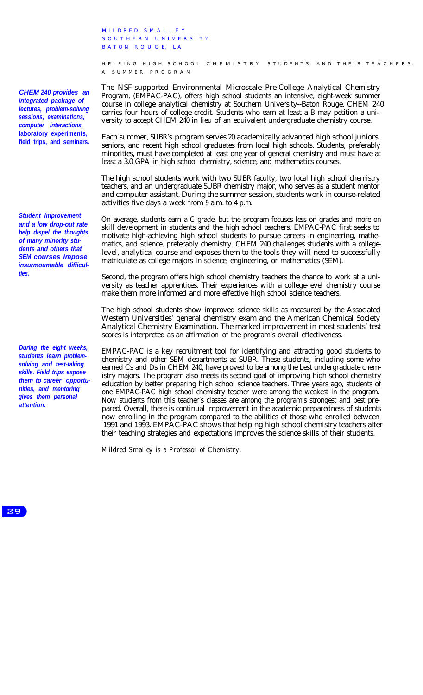M ILDRED SMALLEY SOUTHERN UNIVERSITY BATON ROUGE, LA

H ELPING HIGH SCHOOL CHEMISTRY STUDENTS AND THEIR TEACHERS: A SUMMER PROGRAM

The NSF-supported Environmental Microscale Pre-College Analytical Chemistry Program, (EMPAC-PAC), offers high school students an intensive, eight-week summer course in college analytical chemistry at Southern University--Baton Rouge. CHEM 240 carries four hours of college credit. Students who earn at least a B may petition a university to accept CHEM 240 in lieu of an equivalent undergraduate chemistry course.

Each summer, SUBR's program serves 20 academically advanced high school juniors, seniors, and recent high school graduates from local high schools. Students, preferably minorities, must have completed at least one year of general chemistry and must have at least a 3.0 GPA in high school chemistry, science, and mathematics courses.

The high school students work with two SUBR faculty, two local high school chemistry teachers, and an undergraduate SUBR chemistry major, who serves as a student mentor and computer assistant. During the summer session, students work in course-related activities five days a week from 9 a.m. to 4 p.m.

On average, students earn a C grade, but the program focuses less on grades and more on skill development in students and the high school teachers. EMPAC-PAC first seeks to motivate high-achieving high school students to pursue careers in engineering, mathematics, and science, preferably chemistry. CHEM 240 challenges students with a collegelevel, analytical course and exposes them to the tools they will need to successfully matriculate as college majors in science, engineering, or mathematics (SEM).

Second, the program offers high school chemistry teachers the chance to work at a university as teacher apprentices. Their experiences with a college-level chemistry course make them more informed and more effective high school science teachers.

The high school students show improved science skills as measured by the Associated Western Universities' general chemistry exam and the American Chemical Society Analytical Chemistry Examination. The marked improvement in most students' test scores is interpreted as an affirmation of the program's overall effectiveness.

EMPAC-PAC is a key recruitment tool for identifying and attracting good students to chemistry and other SEM departments at SUBR. These students, including some who earned Cs and Ds in CHEM 240, have proved to be among the best undergraduate chemistry majors. The program also meets its second goal of improving high school chemistry education by better preparing high school science teachers. Three years ago, students of one EMPAC-PAC high school chemistry teacher were among the weakest in the program. Now students from this teacher's classes are among the program's strongest and best prepared. Overall, there is continual improvement in the academic preparedness of students now enrolling in the program compared to the abilities of those who enrolled between 1991 and 1993. EMPAC-PAC shows that helping high school chemistry teachers alter their teaching strategies and expectations improves the science skills of their students.

*Mildred Smalley is a Professor of Chemistry.*

*CHEM 240 provides an integrated package of lectures, problem-solving sessions, examinations, computer interactions,* **laboratory experiments, field trips, and seminars.**

*Student improvement and a low drop-out rate help dispel the thoughts of many minority students and others that SEM courses impose insurmountable difficulties.*

*During the eight weeks, students learn problemsolving and test-taking skills. Field trips expose them to career opportunities, and mentoring gives them personal attention.*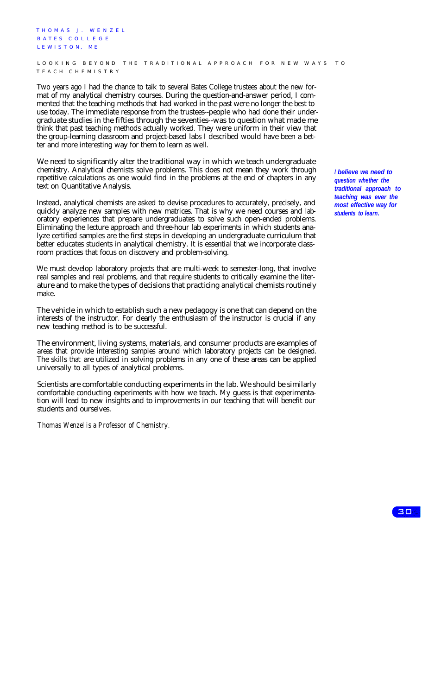T HOMA S J. W E NZEL BATES COLLEGE L E W I S T O N, ME LOOKING BEYOND THE TRADITIONAL APPROACH FOR NEW WAYS TO TEACH CHEMISTRY

Two years ago I had the chance to talk to several Bates College trustees about the new format of my analytical chemistry courses. During the question-and-answer period, I commented that the teaching methods that had worked in the past were no longer the best to use today. The immediate response from the trustees--people who had done their undergraduate studies in the fifties through the seventies--was to question what made me think that past teaching methods actually worked. They were uniform in their view that the group-learning classroom and project-based labs I described would have been a better and more interesting way for them to learn as well.

We need to significantly alter the traditional way in which we teach undergraduate chemistry. Analytical chemists solve problems. This does not mean they work through repetitive calculations as one would find in the problems at the end of chapters in any text on Quantitative Analysis.

Instead, analytical chemists are asked to devise procedures to accurately, precisely, and quickly analyze new samples with new matrices. That is why we need courses and laboratory experiences that prepare undergraduates to solve such open-ended problems. Eliminating the lecture approach and three-hour lab experiments in which students analyze certified samples are the first steps in developing an undergraduate curriculum that better educates students in analytical chemistry. It is essential that we incorporate classroom practices that focus on discovery and problem-solving.

We must develop laboratory projects that are multi-week to semester-long, that involve real samples and real problems, and that require students to critically examine the literature and to make the types of decisions that practicing analytical chemists routinely make.

The vehicle in which to establish such a new pedagogy is one that can depend on the interests of the instructor. For clearly the enthusiasm of the instructor is crucial if any new teaching method is to be successful.

The environment, living systems, materials, and consumer products are examples of areas that provide interesting samples around which laboratory projects can be designed. The skills that are utilized in solving problems in any one of these areas can be applied universally to all types of analytical problems.

Scientists are comfortable conducting experiments in the lab. We should be similarly comfortable conducting experiments with how we teach. My guess is that experimentation will lead to new insights and to improvements in our teaching that will benefit our students and ourselves.

*Thomas Wenzel is a Professor of Chemistry.*

*I believe we need to question whether the traditional approach to teaching was ever the most effective way for for students to learn.*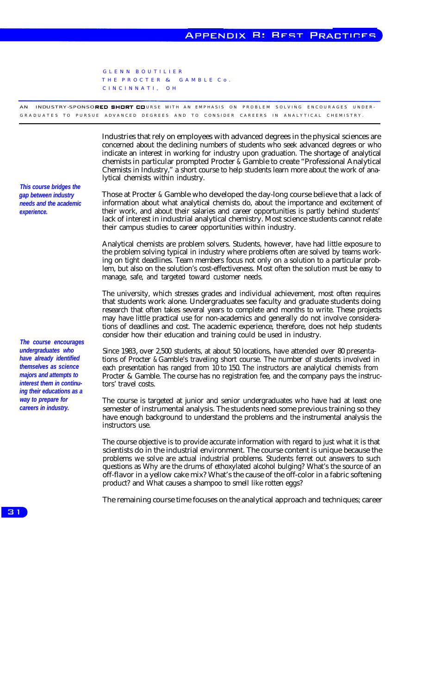GLENN BOUTILIER THE PROCTER & GAMBLE Co. CINCINNATI , OH

AN INDUSTRY-SPONSORED SHORT COURSE WITH AN EMPHASIS ON PROBLEM SOLVING ENCOURAGES UNDER-GRADUATES TO PURSUE ADVANCED DEGREES AND TO CONSIDER CAREERS IN ANALYTICAL CHEMISTRY.

> Industries that rely on employees with advanced degrees in the physical sciences are concerned about the declining numbers of students who seek advanced degrees or who indicate an interest in working for industry upon graduation. The shortage of analytical chemists in particular prompted Procter & Gamble to create "Professional Analytical Chemists in Industry," a short course to help students learn more about the work of analytical chemists within industry.

> Those at Procter & Gamble who developed the day-long course believe that a lack of information about what analytical chemists do, about the importance and excitement of their work, and about their salaries and career opportunities is partly behind students' lack of interest in industrial analytical chemistry. Most science students cannot relate their campus studies to career opportunities within industry.

> Analytical chemists are problem solvers. Students, however, have had little exposure to the problem solving typical in industry where problems often are solved by teams working on tight deadlines. Team members focus not only on a solution to a particular problem, but also on the solution's cost-effectiveness. Most often the solution must be easy to manage, safe, and targeted toward customer needs.

> The university, which stresses grades and individual achievement, most often requires that students work alone. Undergraduates see faculty and graduate students doing research that often takes several years to complete and months to write. These projects may have little practical use for non-academics and generally do not involve considerations of deadlines and cost. The academic experience, therefore, does not help students consider how their education and training could be used in industry.

> Since 1983, over 2,500 students, at about 50 locations, have attended over 80 presentations of Procter & Gamble's traveling short course. The number of students involved in each presentation has ranged from 10 to 150. The instructors are analytical chemists from Procter & Gamble. The course has no registration fee, and the company pays the instructors' travel costs.

> The course is targeted at junior and senior undergraduates who have had at least one semester of instrumental analysis. The students need some previous training so they have enough background to understand the problems and the instrumental analysis the instructors use.

> The course objective is to provide accurate information with regard to just what it is that scientists do in the industrial environment. The course content is unique because the problems we solve are actual industrial problems. Students ferret out answers to such questions as Why are the drums of ethoxylated alcohol bulging? What's the source of an off-flavor in a yellow cake mix? What's the cause of the off-color in a fabric softening product? and What causes a shampoo to smell like rotten eggs?

> The remaining course time focuses on the analytical approach and techniques; career

*This course bridges the gap between industry needs and the academic experience.*

*The course encourages undergraduates who have already identified themselves as science majors and attempts to interest them in continuing their educations as a way to prepare for careers in industry.*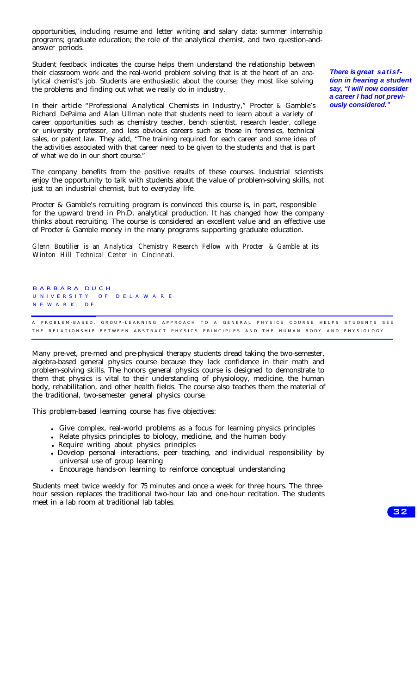opportunities, including resume and letter writing and salary data; summer internship programs; graduate education; the role of the analytical chemist, and two question-andanswer periods.

Student feedback indicates the course helps them understand the relationship between their classroom work and the real-world problem solving that is at the heart of an analytical chemist's job. Students are enthusiastic about the course; they most like solving the problems and finding out what we really do in industry.

In their article "Professional Analytical Chemists in Industry," Procter & Gamble's Richard DePalma and Alan Ullman note that students need to learn about a variety of career opportunities such as chemistry teacher, bench scientist, research leader, college or university professor, and less obvious careers such as those in forensics, technical sales, or patent law. They add, "The training required for each career and some idea of the activities associated with that career need to be given to the students and that is part of what we do in our short course."

The company benefits from the positive results of these courses. Industrial scientists enjoy the opportunity to talk with students about the value of problem-solving skills, not just to an industrial chemist, but to everyday life.

Procter & Gamble's recruiting program is convinced this course is, in part, responsible for the upward trend in Ph.D. analytical production. It has changed how the company thinks about recruiting. The course is considered an excellent value and an effective use of Procter & Gamble money in the many programs supporting graduate education.

*Glenn Boutilier is an Analytical Chemistry Research Fellow with Procter & Gamble at its Winton Hill Technical Center in Cincinnati.*

BARBARA DUCH U NIVERSITY OF DELAWARE N E W A R K, D E A PROBLEM-BASED, GROUP-LEARNING APPROACH TO A GENERAL PHYSICS COURSE HELPS STUDENTS SEE THE RELATIONSHIP BETWEEN ABSTRACT PHYSICS PRINCIPLES AND THE HUMAN BODY AND PHYSIOLOGY.

Many pre-vet, pre-med and pre-physical therapy students dread taking the two-semester, algebra-based general physics course because they lack confidence in their math and problem-solving skills. The honors general physics course is designed to demonstrate to them that physics is vital to their understanding of physiology, medicine, the human body, rehabilitation, and other health fields. The course also teaches them the material of the traditional, two-semester general physics course.

This problem-based learning course has five objectives:

- <sup>l</sup> Give complex, real-world problems as a focus for learning physics principles
- Relate physics principles to biology, medicine, and the human body
- Require writing about physics principles
- Develop personal interactions, peer teaching, and individual responsibility by universal use of group learning
- Encourage hands-on learning to reinforce conceptual understanding

Students meet twice weekly for 75 minutes and once a week for three hours. The threehour session replaces the traditional two-hour lab and one-hour recitation. The students meet in a lab room at traditional lab tables.

*There is great satisftion in hearing a student say, "I will now consider a career I had not previously considered."*

32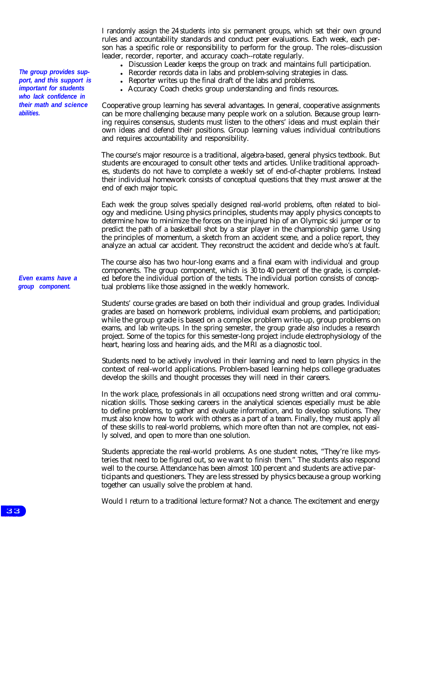*The group provides support, and this support is important for students who lack confidence in their math and science abilities.*

*Even exams have a group component.*

I randomly assign the 24 students into six permanent groups, which set their own ground rules and accountability standards and conduct peer evaluations. Each week, each person has a specific role or responsibility to perform for the group. The roles--discussion leader, recorder, reporter, and accuracy coach--rotate regularly.

- Discussion Leader keeps the group on track and maintains full participation.
- Recorder records data in labs and problem-solving strategies in class.
	- <sup>l</sup> Reporter writes up the final draft of the labs and problems.
- Accuracy Coach checks group understanding and finds resources.

Cooperative group learning has several advantages. In general, cooperative assignments can be more challenging because many people work on a solution. Because group learning requires consensus, students must listen to the others' ideas and must explain their own ideas and defend their positions. Group learning values individual contributions and requires accountability and responsibility.

The course's major resource is a traditional, algebra-based, general physics textbook. But students are encouraged to consult other texts and articles. Unlike traditional approaches, students do not have to complete a weekly set of end-of-chapter problems. Instead their individual homework consists of conceptual questions that they must answer at the end of each major topic.

Each week the group solves specially designed real-world problems, often related to biology and medicine. Using physics principles, students may apply physics concepts to determine how to minimize the forces on the injured hip of an Olympic ski jumper or to predict the path of a basketball shot by a star player in the championship game. Using the principles of momentum, a sketch from an accident scene, and a police report, they analyze an actual car accident. They reconstruct the accident and decide who's at fault.

The course also has two hour-long exams and a final exam with individual and group components. The group component, which is 30 to 40 percent of the grade, is completed before the individual portion of the tests. The individual portion consists of conceptual problems like those assigned in the weekly homework.

Students' course grades are based on both their individual and group grades. Individual grades are based on homework problems, individual exam problems, and participation; while the group grade is based on a complex problem write-up, group problems on exams, and lab write-ups. In the spring semester, the group grade also includes a research project. Some of the topics for this semester-long project include electrophysiology of the heart, hearing loss and hearing aids, and the MRI as a diagnostic tool.

Students need to be actively involved in their learning and need to learn physics in the context of real-world applications. Problem-based learning helps college graduates develop the skills and thought processes they will need in their careers.

In the work place, professionals in all occupations need strong written and oral communication skills. Those seeking careers in the analytical sciences especially must be able to define problems, to gather and evaluate information, and to develop solutions. They must also know how to work with others as a part of a team. Finally, they must apply all of these skills to real-world problems, which more often than not are complex, not easily solved, and open to more than one solution.

Students appreciate the real-world problems. As one student notes, "They're like mysteries that need to be figured out, so we want to finish them." The students also respond well to the course. Attendance has been almost 100 percent and students are active participants and questioners. They are less stressed by physics because a group working together can usually solve the problem at hand.

Would I return to a traditional lecture format? Not a chance. The excitement and energy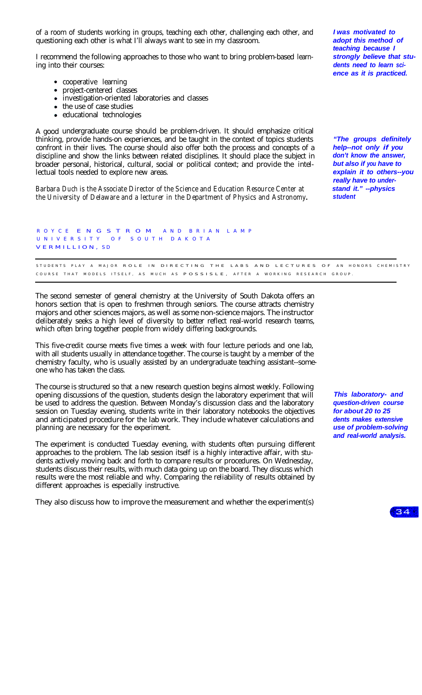of a room of students working in groups, teaching each other, challenging each other, and questioning each other is what I'll always want to see in my classroom.

I recommend the following approaches to those who want to bring problem-based learning into their courses:

- cooperative learning
- project-centered classes
- investigation-oriented laboratories and classes
- the use of case studies
- educational technologies

A good undergraduate course should be problem-driven. It should emphasize critical thinking, provide hands-on experiences, and be taught in the context of topics students confront in their lives. The course should also offer both the process and concepts of a discipline and show the links between related disciplines. It should place the subject in broader personal, historical, cultural, social or political context; and provide the intellectual tools needed to explore new areas.

*Barbara Duch* is the Associate Director of the Science and Education Resource Center at *stand it."* --physics the University of Delaware and a lecturer in the Department of Physics and Astronomy. **Student** *the University of Delaware and a lecturer in the Department of Physics and Astronomy.* 

*I was motivated to adopt this method of teaching because I strongly believe that students need to learn science as it is practiced.*

*"The groups definitely help--not only if you don't know the answer, but also if you have to explain it to others--you really have to under-*

R OYCE ENGSTROM AND BRIAN LAMP U NIVERSITY O F S OUT H DAKOTA VERMILLION, SD

STUDENTS PLAY A MAJOR ROLE IN DIRECTING THE LABS AND LECTURES OF AN HONORS CHEMISTRY COURSE THAT MODELS ITSELF, AS MUCH AS POSSISLE, AFTER A WORKING RESEARCH GROUP.

The second semester of general chemistry at the University of South Dakota offers an honors section that is open to freshmen through seniors. The course attracts chemistry majors and other sciences majors, as well as some non-science majors. The instructor deliberately seeks a high level of diversity to better reflect real-world research teams, which often bring together people from widely differing backgrounds.

This five-credit course meets five times a week with four lecture periods and one lab, with all students usually in attendance together. The course is taught by a member of the chemistry faculty, who is usually assisted by an undergraduate teaching assistant--someone who has taken the class.

The course is structured so that a new research question begins almost weekly. Following opening discussions of the question, students design the laboratory experiment that will be used to address the question. Between Monday's discussion class and the laboratory session on Tuesday evening, students write in their laboratory notebooks the objectives and anticipated procedure for the lab work. They include whatever calculations and planning are necessary for the experiment.

The experiment is conducted Tuesday evening, with students often pursuing different approaches to the problem. The lab session itself is a highly interactive affair, with students actively moving back and forth to compare results or procedures. On Wednesday, students discuss their results, with much data going up on the board. They discuss which results were the most reliable and why. Comparing the reliability of results obtained by different approaches is especially instructive.

They also discuss how to improve the measurement and whether the experiment(s)

*This laboratory- and question-driven course for about 20 to 25 dents makes extensive use of problem-solving and real-world analysis.*

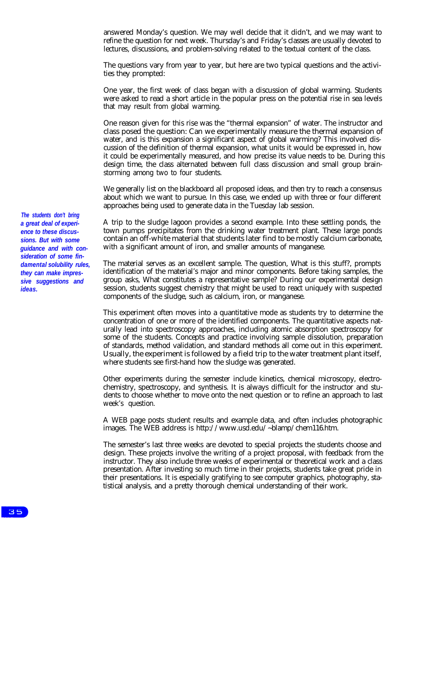answered Monday's question. We may well decide that it didn't, and we may want to refine the question for next week. Thursday's and Friday's classes are usually devoted to lectures, discussions, and problem-solving related to the textual content of the class.

The questions vary from year to year, but here are two typical questions and the activities they prompted:

One year, the first week of class began with a discussion of global warming. Students were asked to read a short article in the popular press on the potential rise in sea levels that may result from global warming.

One reason given for this rise was the "thermal expansion" of water. The instructor and class posed the question: Can we experimentally measure the thermal expansion of water, and is this expansion a significant aspect of global warming? This involved discussion of the definition of thermal expansion, what units it would be expressed in, how it could be experimentally measured, and how precise its value needs to be. During this design time, the class alternated between full class discussion and small group brainstorming among two to four students.

We generally list on the blackboard all proposed ideas, and then try to reach a consensus about which we want to pursue. In this case, we ended up with three or four different approaches being used to generate data in the Tuesday lab session.

A trip to the sludge lagoon provides a second example. Into these settling ponds, the town pumps precipitates from the drinking water treatment plant. These large ponds contain an off-white material that students later find to be mostly calcium carbonate, with a significant amount of iron, and smaller amounts of manganese.

The material serves as an excellent sample. The question, What is this stuff?, prompts identification of the material's major and minor components. Before taking samples, the group asks, What constitutes a representative sample? During our experimental design session, students suggest chemistry that might be used to react uniquely with suspected components of the sludge, such as calcium, iron, or manganese.

This experiment often moves into a quantitative mode as students try to determine the concentration of one or more of the identified components. The quantitative aspects naturally lead into spectroscopy approaches, including atomic absorption spectroscopy for some of the students. Concepts and practice involving sample dissolution, preparation of standards, method validation, and standard methods all come out in this experiment. Usually, the experiment is followed by a field trip to the water treatment plant itself, where students see first-hand how the sludge was generated.

Other experiments during the semester include kinetics, chemical microscopy, electrochemistry, spectroscopy, and synthesis. It is always difficult for the instructor and students to choose whether to move onto the next question or to refine an approach to last week's question.

A WEB page posts student results and example data, and often includes photographic images. The WEB address is http://www.usd.edu/~blamp/chem116.htm.

The semester's last three weeks are devoted to special projects the students choose and design. These projects involve the writing of a project proposal, with feedback from the instructor. They also include three weeks of experimental or theoretical work and a class presentation. After investing so much time in their projects, students take great pride in their presentations. It is especially gratifying to see computer graphics, photography, statistical analysis, and a pretty thorough chemical understanding of their work.

*The students don't bring a great deal of experience to these discussions. But with some guidance and with consideration of some findamental solubility rules, they can make impressive suggestions and ideas.*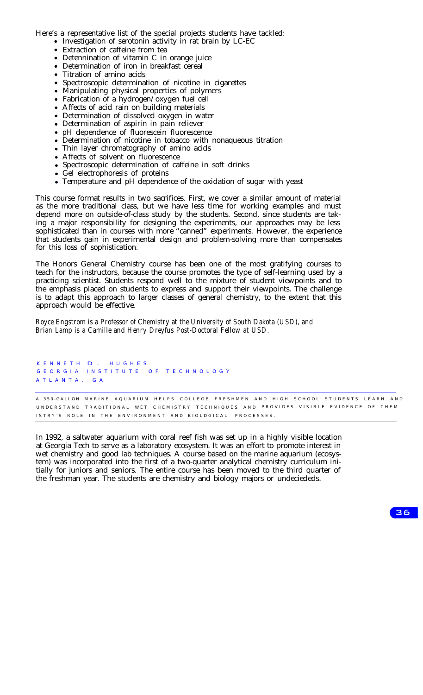Here's a representative list of the special projects students have tackled:

- Investigation of serotonin activity in rat brain by LC-EC
- Extraction of caffeine from tea
- Detennination of vitamin C in orange juice
- Determination of iron in breakfast cereal
- Titration of amino acids
- Spectroscopic determination of nicotine in cigarettes  $\bullet$
- Manipulating physical properties of polymers
- Fabrication of a hydrogen/oxygen fuel cell
- Affects of acid rain on building materials
- Determination of dissolved oxygen in water
- Determination of aspirin in pain reliever
- pH dependence of fluorescein fluorescence
- Determination of nicotine in tobacco with nonaqueous titration
- Thin layer chromatography of amino acids
- Affects of solvent on fluorescence
- Spectroscopic determination of caffeine in soft drinks
- Gel electrophoresis of proteins
- Temperature and pH dependence of the oxidation of sugar with yeast

This course format results in two sacrifices. First, we cover a similar amount of material as the more traditional class, but we have less time for working examples and must depend more on outside-of-class study by the students. Second, since students are taking a major responsibility for designing the experiments, our approaches may be less sophisticated than in courses with more "canned" experiments. However, the experience that students gain in experimental design and problem-solving more than compensates for this loss of sophistication.

The Honors General Chemistry course has been one of the most gratifying courses to teach for the instructors, because the course promotes the type of self-learning used by a practicing scientist. Students respond well to the mixture of student viewpoints and to the emphasis placed on students to express and support their viewpoints. The challenge is to adapt this approach to larger classes of general chemistry, to the extent that this approach would be effective.

*Royce Engstrom is a Professor of Chemistry at the University of South Dakota (USD), and Brian Lamp is a Camille and Henry Dreyfus Post-Doctoral Fellow at USD.*

K ENNETH D . HUGHES G E O R G I A I N S T I T U T E O F T E C H N O L O G Y ATLANTA , GA

A 350-GALLON MARINE AQUARIUM HELPS COLLEGE FRESHMEN AND HIGH SCHOOL STUDENTS LEARN AND UNDERSTAND TRADITIONAL WET CHEMISTRY TECHNIQUES AND PROVIDES VISIBLE EVIDENCE OF CHEM-ISTRY'S ROLE IN THE ENVIRONMENT AND BIOLDGICAL PROCESSES.

In 1992, a saltwater aquarium with coral reef fish was set up in a highly visible location at Georgia Tech to serve as a laboratory ecosystem. It was an effort to promote interest in wet chemistry and good lab techniques. A course based on the marine aquarium (ecosystem) was incorporated into the first of a two-quarter analytical chemistry curriculum initially for juniors and seniors. The entire course has been moved to the third quarter of the freshman year. The students are chemistry and biology majors or undeciededs.

36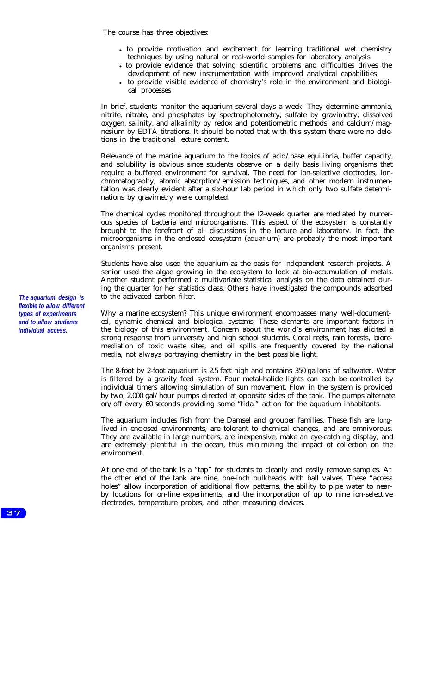The course has three objectives:

- to provide motivation and excitement for learning traditional wet chemistry techniques by using natural or real-world samples for laboratory analysis
- to provide evidence that solving scientific problems and difficulties drives the development of new instrumentation with improved analytical capabilities
- to provide visible evidence of chemistry's role in the environment and biological processes

In brief, students monitor the aquarium several days a week. They determine ammonia, nitrite, nitrate, and phosphates by spectrophotometry; sulfate by gravimetry; dissolved oxygen, salinity, and alkalinity by redox and potentiometric methods; and calcium/magnesium by EDTA titrations. It should be noted that with this system there were no deletions in the traditional lecture content.

Relevance of the marine aquarium to the topics of acid/base equilibria, buffer capacity, and solubility is obvious since students observe on a daily basis living organisms that require a buffered environment for survival. The need for ion-selective electrodes, ionchromatography, atomic absorption/emission techniques, and other modern instrumentation was clearly evident after a six-hour lab period in which only two sulfate determinations by gravimetry were completed.

The chemical cycles monitored throughout the l2-week quarter are mediated by numerous species of bacteria and microorganisms. This aspect of the ecosystem is constantly brought to the forefront of all discussions in the lecture and laboratory. In fact, the microorganisms in the enclosed ecosystem (aquarium) are probably the most important organisms present.

Students have also used the aquarium as the basis for independent research projects. A senior used the algae growing in the ecosystem to look at bio-accumulation of metals. Another student performed a multivariate statistical analysis on the data obtained during the quarter for her statistics class. Others have investigated the compounds adsorbed to the activated carbon filter.

Why a marine ecosystem? This unique environment encompasses many well-documented, dynamic chemical and biological systems. These elements are important factors in the biology of this environment. Concern about the world's environment has elicited a strong response from university and high school students. Coral reefs, rain forests, bioremediation of toxic waste sites, and oil spills are frequently covered by the national media, not always portraying chemistry in the best possible light.

The 8-foot by 2-foot aquarium is 2.5 feet high and contains 350 gallons of saltwater. Water is filtered by a gravity feed system. Four metal-halide lights can each be controlled by individual timers allowing simulation of sun movement. Flow in the system is provided by two, 2,000 gal/hour pumps directed at opposite sides of the tank. The pumps alternate on/off every 60 seconds providing some "tidal" action for the aquarium inhabitants.

The aquarium includes fish from the Damsel and grouper families. These fish are longlived in enclosed environments, are tolerant to chemical changes, and are omnivorous. They are available in large numbers, are inexpensive, make an eye-catching display, and are extremely plentiful in the ocean, thus minimizing the impact of collection on the environment.

At one end of the tank is a "tap" for students to cleanly and easily remove samples. At the other end of the tank are nine, one-inch bulkheads with ball valves. These "access holes" allow incorporation of additional flow patterns, the ability to pipe water to nearby locations for on-line experiments, and the incorporation of up to nine ion-selective electrodes, temperature probes, and other measuring devices.

*The aquarium design is flexible to allow different types of experiments and to allow students individual access.*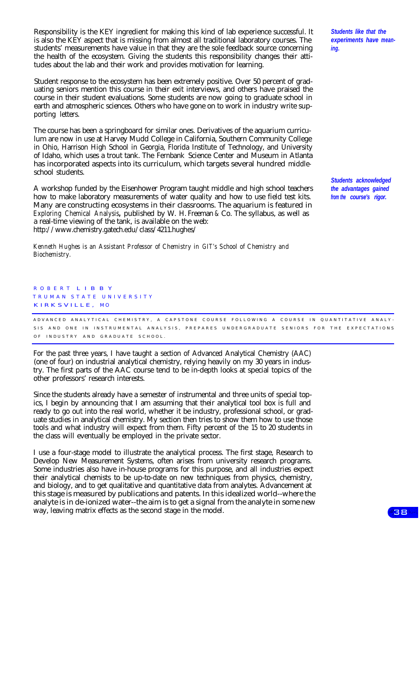Responsibility is the KEY ingredient for making this kind of lab experience successful. It is also the KEY aspect that is missing from almost all traditional laboratory courses. The students' measurements have value in that they are the sole feedback source concerning the health of the ecosystem. Giving the students this responsibility changes their attitudes about the lab and their work and provides motivation for learning.

Student response to the ecosystem has been extremely positive. Over 50 percent of graduating seniors mention this course in their exit interviews, and others have praised the course in their student evaluations. Some students are now going to graduate school in earth and atmospheric sciences. Others who have gone on to work in industry write supporting letters.

The course has been a springboard for similar ones. Derivatives of the aquarium curriculum are now in use at Harvey Mudd College in California, Southern Community College in Ohio, Harrison High School in Georgia, Florida Institute of Technology, and University of Idaho, which uses a trout tank. The Fernbank Science Center and Museum in Atlanta has incorporated aspects into its curriculum, which targets several hundred middleschool students.

A workshop funded by the Eisenhower Program taught middle and high school teachers how to make laboratory measurements of water quality and how to use field test kits. Many are constructing ecosystems in their classrooms. The aquarium is featured in *Exploring Chemical Analysis,* published by W. H. Freeman & Co. The syllabus, as well as a real-time viewing of the tank, is available on the web: http://www.chemistry.gatech.edu/class/4211.hughes/

*Kenneth Hughes is an Assistant Professor of Chemistry in GIT's School of Chemistry and Biochemistry.*

ROBERT LIBBY TRUMAN STATE UNIVERSITY KIRKSVILLE, MO

A DVANCED ANALYTICAL CHEMISTRY, A CAPSTONE COURSE FOLLOWING A COURSE IN QUANTITATIVE ANALY-SIS AND ONE IN INSTRUMENTAL ANALYSIS, PREPARES UNDERGRADUATE SENIORS FOR THE EXPECTATIONS OF INDUSTRY AND GRADUATE SCHOOL.

For the past three years, I have taught a section of Advanced Analytical Chemistry (AAC) (one of four) on industrial analytical chemistry, relying heavily on my 30 years in industry. The first parts of the AAC course tend to be in-depth looks at special topics of the other professors' research interests.

Since the students already have a semester of instrumental and three units of special topics, I begin by announcing that I am assuming that their analytical tool box is full and ready to go out into the real world, whether it be industry, professional school, or graduate studies in analytical chemistry. My section then tries to show them how to use those tools and what industry will expect from them. Fifty percent of the 15 to 20 students in the class will eventually be employed in the private sector.

I use a four-stage model to illustrate the analytical process. The first stage, Research to Develop New Measurement Systems, often arises from university research programs. Some industries also have in-house programs for this purpose, and all industries expect their analytical chemists to be up-to-date on new techniques from physics, chemistry, and biology, and to get qualitative and quantitative data from analytes. Advancement at this stage is measured by publications and patents. In this idealized world--where the analyte is in de-ionized water--the aim is to get a signal from the analyte in some new way, leaving matrix effects as the second stage in the model.

*Students like that the experiments have meaning.*

*Students acknowledged the advantages gained from the course's rigor.*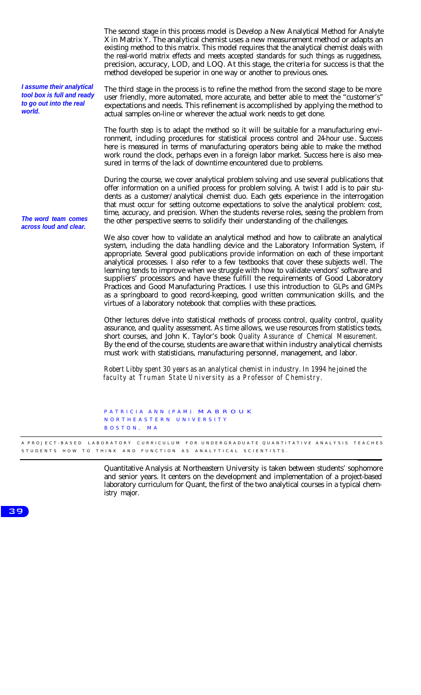The second stage in this process model is Develop a New Analytical Method for Analyte X in Matrix Y. The analytical chemist uses a new measurement method or adapts an existing method to this matrix. This model requires that the analytical chemist deals with the real-world matrix effects and meets accepted standards for such things as ruggedness, precision, accuracy, LOD, and LOQ. At this stage, the criteria for success is that the method developed be superior in one way or another to previous ones. *I assume their analytical tool box is full and ready to go out into the real world.* The third stage in the process is to refine the method from the second stage to be more user friendly, more automated, more accurate, and better able to meet the "customer's" expectations and needs. This refinement is accomplished by applying the method to actual samples on-line or wherever the actual work needs to get done. The fourth step is to adapt the method so it will be suitable for a manufacturing environment, including procedures for statistical process control and 24-hour use . Success here is measured in terms of manufacturing operators being able to make the method work round the clock, perhaps even in a foreign labor market. Success here is also measured in terms of the lack of downtime encountered due to problems. *The word team comes across loud and clear.* During the course, we cover analytical problem solving and use several publications that offer information on a unified process for problem solving. A twist I add is to pair students as a customer/analytical chemist duo. Each gets experience in the interrogation that must occur for setting outcome expectations to solve the analytical problem: cost, time, accuracy, and precision. When the students reverse roles, seeing the problem from the other perspective seems to solidify their understanding of the challenges. We also cover how to validate an analytical method and how to calibrate an analytical system, including the data handling device and the Laboratory Information System, if appropriate. Several good publications provide information on each of these important analytical processes. I also refer to a few textbooks that cover these subjects well. The learning tends to improve when we struggle with how to validate vendors' software and suppliers' processors and have these fulfill the requirements of Good Laboratory Practices and Good Manufacturing Practices. I use this introduction to GLPs and GMPs as a springboard to good record-keeping, good written communication skills, and the virtues of a laboratory notebook that complies with these practices. Other lectures delve into statistical methods of process control, quality control, quality assurance, and quality assessment. As time allows, we use resources from statistics texts, short courses, and John K. Taylor's book *Quality Assurance of Chemical Measurement.* By the end of the course, students are aware that within industry analytical chemists must work with statisticians, manufacturing personnel, management, and labor. *Robert Libby spent 30 years as an analytical chemist in industry. In 1994 he joined the faculty at Truman State University as a Professor of Chemistry.* PATRICIA ANN (PAM) MABROUK NORTHEASTERN UNIVERSITY BOSTON , MA

A PROJECT-BASED LABORATORY CURRICULUM FOR UNDERGRADUATE QUANTITATIVE ANALYSIS TEACHES STUDENTS HOW TO THINK AND FUNCTION AS ANALYTICAL SCIENTISTS.

> Quantitative Analysis at Northeastern University is taken between students' sophomore and senior years. It centers on the development and implementation of a project-based laboratory curriculum for Quant, the first of the two analytical courses in a typical chemistry major.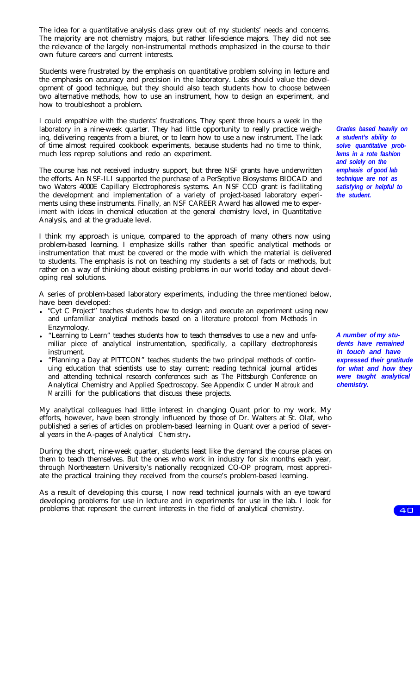The idea for a quantitative analysis class grew out of my students' needs and concerns. The majority are not chemistry majors, but rather life-science majors. They did not see the relevance of the largely non-instrumental methods emphasized in the course to their own future careers and current interests.

Students were frustrated by the emphasis on quantitative problem solving in lecture and the emphasis on accuracy and precision in the laboratory. Labs should value the development of good technique, but they should also teach students how to choose between two alternative methods, how to use an instrument, how to design an experiment, and how to troubleshoot a problem.

I could empathize with the students' frustrations. They spent three hours a week in the laboratory in a nine-week quarter. They had little opportunity to really practice weighing, delivering reagents from a biuret, or to learn how to use a new instrument. The lack of time almost required cookbook experiments, because students had no time to think, much less reprep solutions and redo an experiment.

The course has not received industry support, but three NSF grants have underwritten the efforts. An NSF-ILI supported the purchase of a PerSeptive Biosystems BIOCAD and two Waters 4000E Capillary Electrophoresis systems. An NSF CCD grant is facilitating the development and implementation of a variety of project-based laboratory experiments using these instruments. Finally, an NSF CAREER Award has allowed me to experiment with ideas in chemical education at the general chemistry level, in Quantitative Analysis, and at the graduate level.

I think my approach is unique, compared to the approach of many others now using problem-based learning. I emphasize skills rather than specific analytical methods or instrumentation that must be covered or the mode with which the material is delivered to students. The emphasis is not on teaching my students a set of facts or methods, but rather on a way of thinking about existing problems in our world today and about developing real solutions.

A series of problem-based laboratory experiments, including the three mentioned below, have been developed:

- <sup>l</sup> "Cyt C Project" teaches students how to design and execute an experiment using new and unfamiliar analytical methods based on a literature protocol from Methods in Enzymology.
- "Learning to Learn" teaches students how to teach themselves to use a new and unfamiliar piece of analytical instrumentation, specifically, a capillary electrophoresis instrument.
- "Planning a Day at PITTCON" teaches students the two principal methods of continuing education that scientists use to stay current: reading technical journal articles and attending technical research conferences such as The Pittsburgh Conference on Analytical Chemistry and Applied Spectroscopy. See Appendix C under *Mabrouk* and *Marzilli* for the publications that discuss these projects.

My analytical colleagues had little interest in changing Quant prior to my work. My efforts, however, have been strongly influenced by those of Dr. Walters at St. Olaf, who published a series of articles on problem-based learning in Quant over a period of several years in the A-pages of *Analytical Chemistry.*

During the short, nine-week quarter, students least like the demand the course places on them to teach themselves. But the ones who work in industry for six months each year, through Northeastern University's nationally recognized CO-OP program, most appreciate the practical training they received from the course's problem-based learning.

As a result of developing this course, I now read technical journals with an eye toward developing problems for use in lecture and in experiments for use in the lab. I look for problems that represent the current interests in the field of analytical chemistry.

*Grades based heavily on a student's ability to solve quantitative problems in a rote fashion and solely on the emphasis of good lab technique are not as satisfying or helpful to the student.*

*A number of my stu*dents have remained *in touch and have expressed their gratitude for what and how they were taught analytical chemistry.*

 $4<sub>0</sub>$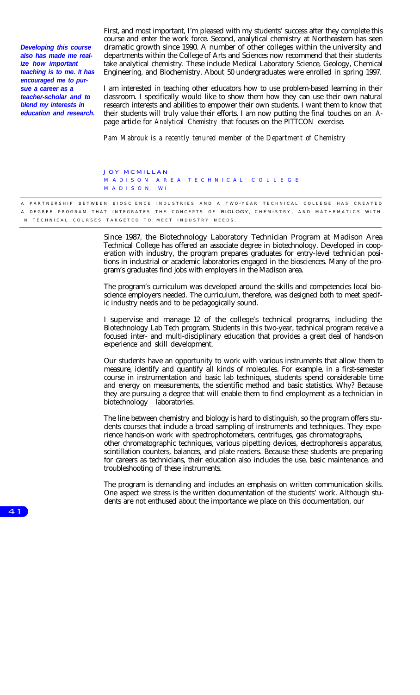*Developing this course also has made me realize how important teaching is to me. It has encouraged me to pursue a career as a teacher-scholar and to blend my interests in education and research.* First, and most important, I'm pleased with my students' success after they complete this course and enter the work force. Second, analytical chemistry at Northeastern has seen dramatic growth since 1990. A number of other colleges within the university and departments within the College of Arts and Sciences now recommend that their students take analytical chemistry. These include Medical Laboratory Science, Geology, Chemical Engineering, and Biochemistry. About 50 undergraduates were enrolled in spring 1997.

I am interested in teaching other educators how to use problem-based learning in their classroom. I specifically would like to show them how they can use their own natural research interests and abilities to empower their own students. I want them to know that their students will truly value their efforts. I am now putting the final touches on an Apage article for *Analytical Chemistry* that focuses on the PITTCON exercise.

*Pam Mabrouk is a recently tenured member of the Department of Chemistry*

#### JOY MCMILLAN M ADISON AREA TECHNICAL COLLEGE M ADISO N, WI

A PARTNERSHIP BETWEEN BIOSCIENCE INDUSTRIES AND A TWO-YEAR TECHNICAL COLLEGE HAS CREATED A DEGREE PROGRAM THAT INTEGRATES THE CONCEPTS OF BIOLOGY, CHEMISTRY, AND MATHEMATICS WITH-IN TECHNICAL COURSES TARGETED TO MEET INDUSTRY NEEDS.

> Since 1987, the Biotechnology Laboratory Technician Program at Madison Area Technical College has offered an associate degree in biotechnology. Developed in cooperation with industry, the program prepares graduates for entry-level technician positions in industrial or academic laboratories engaged in the biosciences. Many of the program's graduates find jobs with employers in the Madison area.

> The program's curriculum was developed around the skills and competencies local bioscience employers needed. The curriculum, therefore, was designed both to meet specific industry needs and to be pedagogically sound.

> I supervise and manage 12 of the college's technical programs, including the Biotechnology Lab Tech program. Students in this two-year, technical program receive a focused inter- and multi-disciplinary education that provides a great deal of hands-on experience and skill development.

> Our students have an opportunity to work with various instruments that allow them to measure, identify and quantify all kinds of molecules. For example, in a first-semester course in instrumentation and basic lab techniques, students spend considerable time and energy on measurements, the scientific method and basic statistics. Why? Because they are pursuing a degree that will enable them to find employment as a technician in biotechnology laboratories.

> The line between chemistry and biology is hard to distinguish, so the program offers students courses that include a broad sampling of instruments and techniques. They experience hands-on work with spectrophotometers, centrifuges, gas chromatographs, other chromatographic techniques, various pipetting devices, electrophoresis apparatus, scintillation counters, balances, and plate readers. Because these students are preparing for careers as technicians, their education also includes the use, basic maintenance, and troubleshooting of these instruments.

> The program is demanding and includes an emphasis on written communication skills. One aspect we stress is the written documentation of the students' work. Although students are not enthused about the importance we place on this documentation, our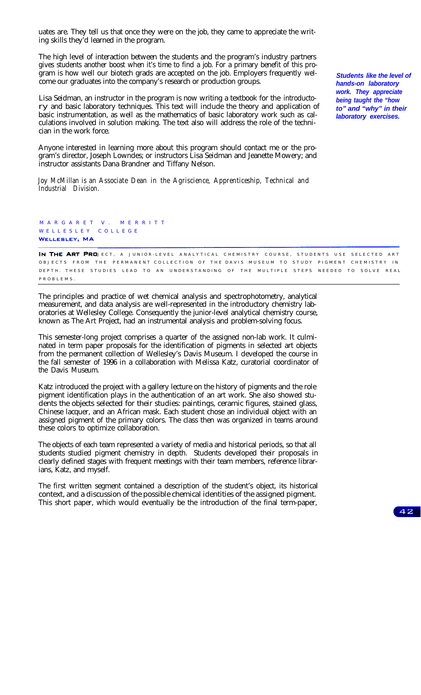uates are. They tell us that once they were on the job, they came to appreciate the writing skills they'd learned in the program.

The high level of interaction between the students and the program's industry partners gives students another boost when it's time to find a job. For a primary benefit of this program is how well our biotech grads are accepted on the job. Employers frequently welcome our graduates into the company's research or production groups.

Lisa Seidman, an instructor in the program is now writing a textbook for the introductory and basic laboratory techniques. This text will include the theory and application of basic instrumentation, as well as the mathematics of basic laboratory work such as calculations involved in solution making. The text also will address the role of the technician in the work force.

Anyone interested in learning more about this program should contact me or the program's director, Joseph Lowndes; or instructors Lisa Seidman and Jeanette Mowery; and instructor assistants Dana Brandner and Tiffany Nelson.

*Joy McMillan is an Associate Dean in the Agriscience, Apprenticeship, Technical and Industrial Division.*

M A R G A R E T V . M E R R I T T WELLESLEY COLLEGE WELLESLEY, MA

IN THE ART PROJECT, A JUNIOR-LEVEL ANALYTICAL CHEMISTRY COURSE, STUDENTS USE SELECTED ART OBJECTS FROM THE PERMANENT COLLECTION OF THE DAVIS MUSEUM TO STUDY PIGMENT CHEMISTRY IN DEPTH. THESE STUDIES LEAD TO AN UNDERSTANDING OF THE MULTIPLE STEPS NEEDED TO SOLVE REAL PROBLEMS.

The principles and practice of wet chemical analysis and spectrophotometry, analytical measurement, and data analysis are well-represented in the introductory chemistry laboratories at Wellesley College. Consequently the junior-level analytical chemistry course, known as The Art Project, had an instrumental analysis and problem-solving focus.

This semester-long project comprises a quarter of the assigned non-lab work. It culminated in term paper proposals for the identification of pigments in selected art objects from the permanent collection of Wellesley's Davis Museum. I developed the course in the fall semester of 1996 in a collaboration with Melissa Katz, curatorial coordinator of the Davis Museum.

Katz introduced the project with a gallery lecture on the history of pigments and the role pigment identification plays in the authentication of an art work. She also showed students the objects selected for their studies: paintings, ceramic figures, stained glass, Chinese lacquer, and an African mask. Each student chose an individual object with an assigned pigment of the primary colors. The class then was organized in teams around these colors to optimize collaboration.

The objects of each team represented a variety of media and historical periods, so that all students studied pigment chemistry in depth. Students developed their proposals in clearly defined stages with frequent meetings with their team members, reference librarians, Katz, and myself.

The first written segment contained a description of the student's object, its historical context, and a discussion of the possible chemical identities of the assigned pigment. This short paper, which would eventually be the introduction of the final term-paper,

*Students like the level of hands-on laboratory work. They appreciate being taught the "how to" and "why" in their laboratory exercises.*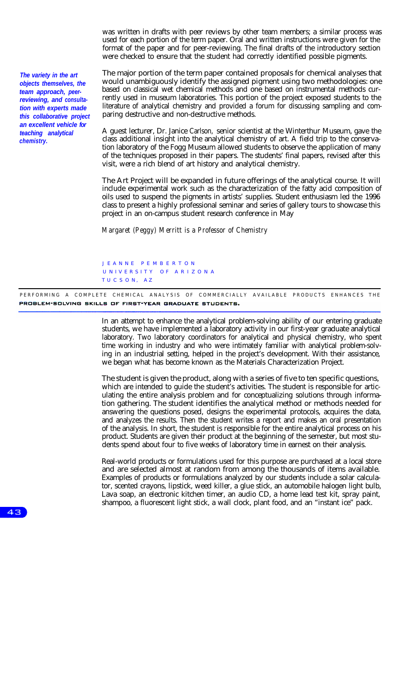was written in drafts with peer reviews by other team members; a similar process was used for each portion of the term paper. Oral and written instructions were given for the format of the paper and for peer-reviewing. The final drafts of the introductory section were checked to ensure that the student had correctly identified possible pigments.

*The variety in the art objects themselves, the team approach, peerreviewing, and consultation with experts made this collaborative project an excellent vehicle for teaching analytical chemistry.*

The major portion of the term paper contained proposals for chemical analyses that would unambiguously identify the assigned pigment using two methodologies: one based on classical wet chemical methods and one based on instrumental methods currently used in museum laboratories. This portion of the project exposed students to the literature of analytical chemistry and provided a forum for discussing sampling and comparing destructive and non-destructive methods.

A guest lecturer, Dr. Janice Carlson, senior scientist at the Winterthur Museum, gave the class additional insight into the analytical chemistry of art. A field trip to the conservation laboratory of the Fogg Museum allowed students to observe the application of many of the techniques proposed in their papers. The students' final papers, revised after this visit, were a rich blend of art history and analytical chemistry.

The Art Project will be expanded in future offerings of the analytical course. It will include experimental work such as the characterization of the fatty acid composition of oils used to suspend the pigments in artists' supplies. Student enthusiasm led the 1996 class to present a highly professional seminar and series of gallery tours to showcase this project in an on-campus student research conference in May

*Margaret (Peggy) Merritt is a Professor of Chemistry*

J EANNE PEMBERTON U NIVERSITY OF ARIZONA TUCSON, AZ

PERFORMING A COMPLETE CHEMICAL ANALYSIS OF COMMERCIALLY AVAILABLE PRODUCTS ENHANCES THE PROBLEM-SOLVING SKILLS OF FIRST-YEAR GRADUATE STUDENTS.

> In an attempt to enhance the analytical problem-solving ability of our entering graduate students, we have implemented a laboratory activity in our first-year graduate analytical laboratory. Two laboratory coordinators for analytical and physical chemistry, who spent time working in industry and who were intimately familiar with analytical problem-solving in an industrial setting, helped in the project's development. With their assistance, we began what has become known as the Materials Characterization Project.

> The student is given the product, along with a series of five to ten specific questions, which are intended to guide the student's activities. The student is responsible for articulating the entire analysis problem and for conceptualizing solutions through information gathering. The student identifies the analytical method or methods needed for answering the questions posed, designs the experimental protocols, acquires the data, and analyzes the results. Then the student writes a report and makes an oral presentation of the analysis. In short, the student is responsible for the entire analytical process on his product. Students are given their product at the beginning of the semester, but most students spend about four to five weeks of laboratory time in earnest on their analysis.

> Real-world products or formulations used for this purpose are purchased at a local store and are selected almost at random from among the thousands of items available. Examples of products or formulations analyzed by our students include a solar calculator, scented crayons, lipstick, weed killer, a glue stick, an automobile halogen light bulb, Lava soap, an electronic kitchen timer, an audio CD, a home lead test kit, spray paint, shampoo, a fluorescent light stick, a wall clock, plant food, and an "instant ice" pack.

43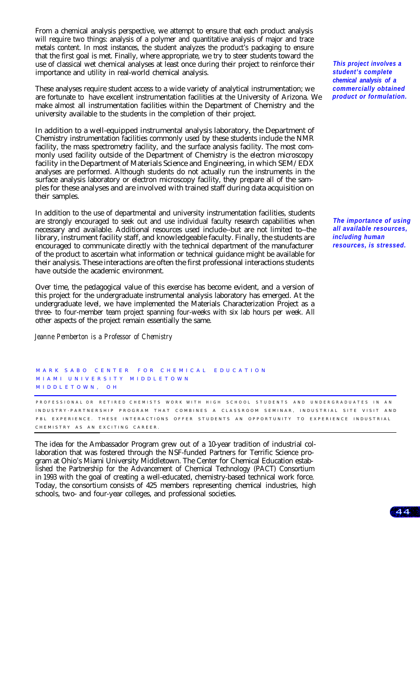From a chemical analysis perspective, we attempt to ensure that each product analysis will require two things: analysis of a polymer and quantitative analysis of major and trace metals content. In most instances, the student analyzes the product's packaging to ensure that the first goal is met. Finally, where appropriate, we try to steer students toward the use of classical wet chemical analyses at least once during their project to reinforce their importance and utility in real-world chemical analysis.

These analyses require student access to a wide variety of analytical instrumentation; we are fortunate to have excellent instrumentation facilities at the University of Arizona. We make almost all instrumentation facilities within the Department of Chemistry and the university available to the students in the completion of their project.

In addition to a well-equipped instrumental analysis laboratory, the Department of Chemistry instrumentation facilities commonly used by these students include the NMR facility, the mass spectrometry facility, and the surface analysis facility. The most commonly used facility outside of the Department of Chemistry is the electron microscopy facility in the Department of Materials Science and Engineering, in which SEM/EDX analyses are performed. Although students do not actually run the instruments in the surface analysis laboratory or electron microscopy facility, they prepare all of the samples for these analyses and are involved with trained staff during data acquisition on their samples.

In addition to the use of departmental and university instrumentation facilities, students are strongly encouraged to seek out and use individual faculty research capabilities when necessary and available. Additional resources used include--but are not limited to--the library, instrument facility staff, and knowledgeable faculty. Finally, the students are encouraged to communicate directly with the technical department of the manufacturer of the product to ascertain what information or technical guidance might be available for their analysis. These interactions are often the first professional interactions students have outside the academic environment.

Over time, the pedagogical value of this exercise has become evident, and a version of this project for the undergraduate instrumental analysis laboratory has emerged. At the undergraduate level, we have implemented the Materials Characterization Project as a three- to four-member team project spanning four-weeks with six lab hours per week. All other aspects of the project remain essentially the same.

*Jeanne Pemberton is a Professor of Chemistry*

MARK SABO CENTER FOR CHEMICAL EDUCATION MIAMI UNIVERSITY MIDDLETOWN MIDDLETOWN, O H

PROFESSIONAL OR RETIRED CHEMISTS WORK WITH HIGH SCHOOL STUDENTS AND UNDERGRADUATES IN AN INDUSTRY-PARTNERSHIP PROGRAM THAT COMBINES A CLASSROOM SEMINAR, INDUSTRIAL SITE VISIT AND PBL EXPERIENCE. THESE INTERACTIONS OFFER STUDENTS AN OPPORTUNITY TO EXPERIENCE INDUSTRIAL CHEMISTRY AS AN EXCITING CAREER

The idea for the Ambassador Program grew out of a 10-year tradition of industrial collaboration that was fostered through the NSF-funded Partners for Terrific Science program at Ohio's Miami University Middletown. The Center for Chemical Education established the Partnership for the Advancement of Chemical Technology (PACT) Consortium in 1993 with the goal of creating a well-educated, chemistry-based technical work force. Today, the consortium consists of 425 members representing chemical industries, high schools, two- and four-year colleges, and professional societies.

*This project involves a student's complete chemical analysis of a commercially obtained product or formulation.*

*The importance of using all available resources, including human resources, is stressed.*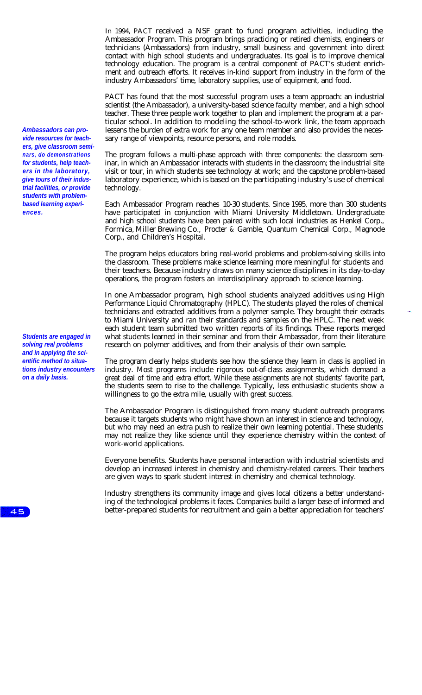In 1994, PACT received a NSF grant to fund program activities, including the Ambassador Program. This program brings practicing or retired chemists, engineers or technicians (Ambassadors) from industry, small business and government into direct contact with high school students and undergraduates. Its goal is to improve chemical technology education. The program is a central component of PACT's student enrichment and outreach efforts. It receives in-kind support from industry in the form of the industry Ambassadors' time, laboratory supplies, use of equipment, and food.

PACT has found that the most successful program uses a team approach: an industrial scientist (the Ambassador), a university-based science faculty member, and a high school teacher. These three people work together to plan and implement the program at a particular school. In addition to modeling the school-to-work link, the team approach lessens the burden of extra work for any one team member and also provides the necessary range of viewpoints, resource persons, and role models.

The program follows a multi-phase approach with three components: the classroom seminar, in which an Ambassador interacts with students in the classroom; the industrial site visit or tour, in which students see technology at work; and the capstone problem-based laboratory experience, which is based on the participating industry's use of chemical technology.

Each Ambassador Program reaches 10-30 students. Since 1995, more than 300 students have participated in conjunction with Miami University Middletown. Undergraduate and high school students have been paired with such local industries as Henkel Corp., Formica, Miller Brewing Co., Procter & Gamble, Quantum Chemical Corp., Magnode Corp., and Children's Hospital.

The program helps educators bring real-world problems and problem-solving skills into the classroom. These problems make science learning more meaningful for students and their teachers. Because industry draws on many science disciplines in its day-to-day operations, the program fosters an interdisciplinary approach to science learning.

In one Ambassador program, high school students analyzed additives using High Performance Liquid Chromatography (HPLC). The students played the roles of chemical technicians and extracted additives from a polymer sample. They brought their extracts to Miami University and ran their standards and samples on the HPLC. The next week each student team submitted two written reports of its findings. These reports merged what students learned in their seminar and from their Ambassador, from their literature research on polymer additives, and from their analysis of their own sample.

The program clearly helps students see how the science they learn in class is applied in industry. Most programs include rigorous out-of-class assignments, which demand a great deal of time and extra effort. While these assignments are not students' favorite part, the students seem to rise to the challenge. Typically, less enthusiastic students show a willingness to go the extra mile, usually with great success.

The Ambassador Program is distinguished from many student outreach programs because it targets students who might have shown an interest in science and technology, but who may need an extra push to realize their own learning potential. These students may not realize they like science until they experience chemistry within the context of work-world applications.

Everyone benefits. Students have personal interaction with industrial scientists and develop an increased interest in chemistry and chemistry-related careers. Their teachers are given ways to spark student interest in chemistry and chemical technology.

Industry strengthens its community image and gives local citizens a better understanding of the technological problems it faces. Companies build a larger base of informed and better-prepared students for recruitment and gain a better appreciation for teachers'

*Ambassadors can provide resources for teachers, give classroom seminars, do demonstrations for students, help teachers in the laboratory, give tours of their industrial facilities, or provide students with problembased learning experiences.*

*Students are engaged in solving real problems and in applying the scientific method to situations industry encounters on a daily basis.*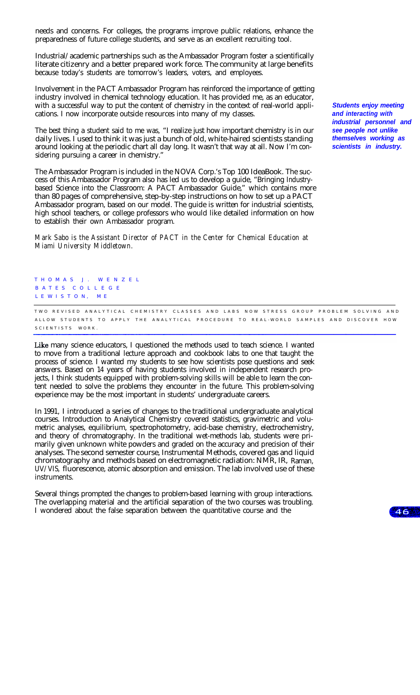needs and concerns. For colleges, the programs improve public relations, enhance the preparedness of future college students, and serve as an excellent recruiting tool.

Industrial/academic partnerships such as the Ambassador Program foster a scientifically literate citizenry and a better prepared work force. The community at large benefits because today's students are tomorrow's leaders, voters, and employees.

Involvement in the PACT Ambassador Program has reinforced the importance of getting industry involved in chemical technology education. It has provided me, as an educator, with a successful way to put the content of chemistry in the context of real-world applications. I now incorporate outside resources into many of my classes.

The best thing a student said to me was, "I realize just how important chemistry is in our daily lives. I used to think it was just a bunch of old, white-haired scientists standing around looking at the periodic chart all day long. It wasn't that way at all. Now I'm considering pursuing a career in chemistry.'

The Ambassador Program is included in the NOVA Corp.'s Top 100 IdeaBook. The success of this Ambassador Program also has led us to develop a guide, "Bringing Industrybased Science into the Classroom: A PACT Ambassador Guide," which contains more than 80 pages of comprehensive, step-by-step instructions on how to set up a PACT Ambassador program, based on our model. The guide is written for industrial scientists, high school teachers, or college professors who would like detailed information on how to establish their own Ambassador program.

*Mark Sabo is the Assistant Director of PACT in the Center for Chemical Education at Miami University Middletown.*

T HOMA S J. W E NZEL B ATE S C OLLEGE L E W I S T O N, M E

T W O REVISED ANALYTICAL CHEMISTRY CLASSES AND LABS NOW STRESS GROUP PROBLEM SOLVING AND ALLOW STUDENTS TO APPLY THE ANALYTICAL PROCEDURE TO REAL-WORLD SAMPLES AND DISCOVER HOW SCIENTISTS WORK.

Like many science educators, I questioned the methods used to teach science. I wanted to move from a traditional lecture approach and cookbook labs to one that taught the process of science. I wanted my students to see how scientists pose questions and seek answers. Based on 14 years of having students involved in independent research projects, I think students equipped with problem-solving skills will be able to learn the content needed to solve the problems they encounter in the future. This problem-solving experience may be the most important in students' undergraduate careers.

In 1991, I introduced a series of changes to the traditional undergraduate analytical courses. Introduction to Analytical Chemistry covered statistics, gravimetric and volumetric analyses, equilibrium, spectrophotometry, acid-base chemistry, electrochemistry, and theory of chromatography. In the traditional wet-methods lab, students were primarily given unknown white powders and graded on the accuracy and precision of their analyses. The second semester course, Instrumental Methods, covered gas and liquid chromatography and methods based on electromagnetic radiation: NMR, IR, Raman, UV/VIS, fluorescence, atomic absorption and emission. The lab involved use of these instruments.

Several things prompted the changes to problem-based learning with group interactions. The overlapping material and the artificial separation of the two courses was troubling. I wondered about the false separation between the quantitative course and the

*Students enjoy meeting and interacting with industrial personnel and see people not unlike themselves working as scientists in industry.*

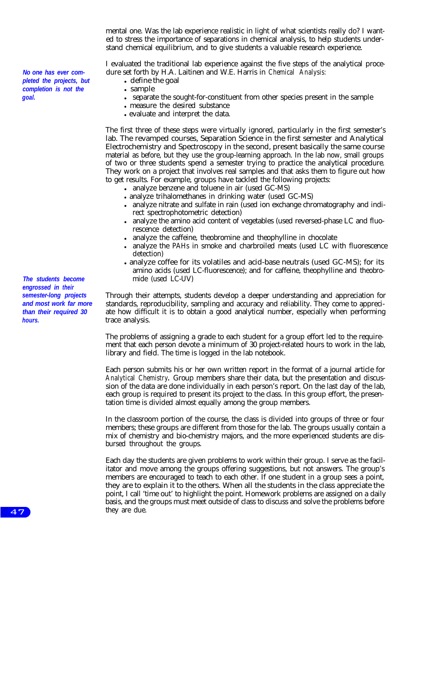mental one. Was the lab experience realistic in light of what scientists really do? I wanted to stress the importance of separations in chemical analysis, to help students understand chemical equilibrium, and to give students a valuable research experience.

I evaluated the traditional lab experience against the five steps of the analytical procedure set forth by H.A. Laitinen and W.E. Harris in *Chemical Analysis:*

- $\cdot$  define the goal
- sample
- separate the sought-for-constituent from other species present in the sample
- measure the desired substance
- evaluate and interpret the data.

The first three of these steps were virtually ignored, particularly in the first semester's lab. The revamped courses, Separation Science in the first semester and Analytical Electrochemistry and Spectroscopy in the second, present basically the same course material as before, but they use the group-learning approach. In the lab now, small groups of two or three students spend a semester trying to practice the analytical procedure. They work on a project that involves real samples and that asks them to figure out how to get results. For example, groups have tackled the following projects:

- analyze benzene and toluene in air (used GC-MS)
- analyze trihalomethanes in drinking water (used GC-MS)
- analyze nitrate and sulfate in rain (used ion exchange chromatography and indirect spectrophotometric detection)
- analyze the amino acid content of vegetables (used reversed-phase LC and fluorescence detection)
- analyze the caffeine, theobromine and theophylline in chocolate
- analyze the PAHs in smoke and charbroiled meats (used LC with fluorescence detection)
- analyze coffee for its volatiles and acid-base neutrals (used GC-MS); for its amino acids (used LC-fluorescence); and for caffeine, theophylline and theobromide (used LC-UV)

Through their attempts, students develop a deeper understanding and appreciation for standards, reproducibility, sampling and accuracy and reliability. They come to appreciate how difficult it is to obtain a good analytical number, especially when performing trace analysis.

The problems of assigning a grade to each student for a group effort led to the requirement that each person devote a minimum of 30 project-related hours to work in the lab, library and field. The time is logged in the lab notebook.

Each person submits his or her own written report in the format of a journal article for *Analytical Chemistry.* Group members share their data, but the presentation and discussion of the data are done individually in each person's report. On the last day of the lab, each group is required to present its project to the class. In this group effort, the presentation time is divided almost equally among the group members.

In the classroom portion of the course, the class is divided into groups of three or four members; these groups are different from those for the lab. The groups usually contain a mix of chemistry and bio-chemistry majors, and the more experienced students are disbursed throughout the groups.

Each day the students are given problems to work within their group. I serve as the facilitator and move among the groups offering suggestions, but not answers. The group's members are encouraged to teach to each other. If one student in a group sees a point, they are to explain it to the others. When all the students in the class appreciate the point, I call 'time out' to highlight the point. Homework problems are assigned on a daily basis, and the groups must meet outside of class to discuss and solve the problems before they are due.

*The students become engrossed in their semester-long projects and most work far more than their required 30*

*hours.*

 $47$ 

*No one has ever completed the projects, but completion is not the goal.*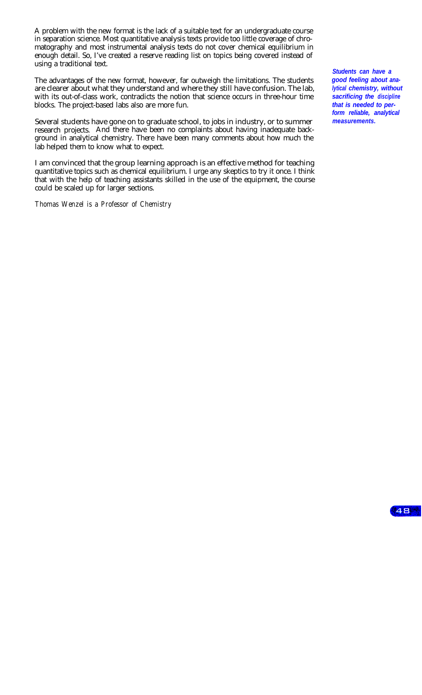A problem with the new format is the lack of a suitable text for an undergraduate course in separation science. Most quantitative analysis texts provide too little coverage of chromatography and most instrumental analysis texts do not cover chemical equilibrium in enough detail. So, I've created a reserve reading list on topics being covered instead of using a traditional text.

The advantages of the new format, however, far outweigh the limitations. The students are clearer about what they understand and where they still have confusion. The lab, with its out-of-class work, contradicts the notion that science occurs in three-hour time blocks. The project-based labs also are more fun.

Several students have gone on to graduate school, to jobs in industry, or to summer research projects. And there have been no complaints about having inadequate background in analytical chemistry. There have been many comments about how much the lab helped them to know what to expect.

I am convinced that the group learning approach is an effective method for teaching quantitative topics such as chemical equilibrium. I urge any skeptics to try it once. I think that with the help of teaching assistants skilled in the use of the equipment, the course could be scaled up for larger sections.

*Thomas Wenzel is a Professor of Chemistry*

*Students can have a good feeling about analytical chemistry, without sacrificing the discipline that is needed to perform reliable, analytical measurements.*

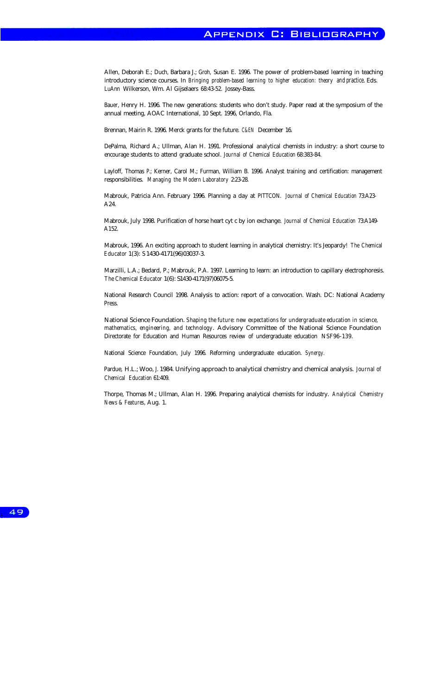Allen, Deborah E.; Duch, Barbara J.; Groh, Susan E. 1996. The power of problem-based learning in teaching introductory science courses. In *Bringing problem-based learning to higher education: theory and practice*. Eds. LuAnn Wilkerson, Wm. Al Gijselaers 68:43-52. Jossey-Bass.

Bauer, Henry H. 1996. The new generations: students who don't study. Paper read at the symposium of the annual meeting, AOAC International, 10 Sept. 1996, Orlando, Fla.

Brennan, Mairin R. 1996. Merck grants for the future. *C&EN* December 16.

DePalma, Richard A.; Ullman, Alan H. 1991. Professional analytical chemists in industry: a short course to encourage students to attend graduate school. *Journal of Chemical Education* 68:383-84.

Layloff, Thomas P.; Kerner, Carol M.; Furman, William B. 1996. Analyst training and certification: management responsibilities. *Managing the Modern Laboratory* 2:23-28.

Mabrouk, Patricia Ann. February 1996. Planning a day at PITTCON. *Journal of Chemical Education* 73:A23- A24.

Mabrouk, July 1998. Purification of horse heart cyt c by ion exchange. *Journal of Chemical Education* 73:A149- A152.

Mabrouk, 1996. An exciting approach to student learning in analytical chemistry: It's Jeopardy! *The Chemical Educator* 1(3): S 1430-4171(96)03037-3. 1430-4171(96)03037-3.

Marzilli, L.A.; Bedard, P.; Mabrouk, P.A. 1997. Learning to learn: an introduction to capillary electrophoresis. The Chemical Educator 1(6): S1430-4171(97)06075-5.

National Research Council 1998. Analysis to action: report of a convocation. Wash. DC: National Academy Press.

National Science Foundation. *Shaping the future: new expectations for undergraduate education in science, mathematics, engineering, and technology*. Advisory Committee of the National Science Foundation Directorate for Education and Human Resources review of undergraduate education NSF96-139.

National Science Foundation, July 1996. Reforming undergraduate education. *Synergy.*

Pardue, H.L.; Woo, J. 1984. Unifying approach to analytical chemistry and chemical analysis. *Journal of Chemical Education* 61:409.

Thorpe, Thomas M.; Ullman, Alan H. 1996. Preparing analytical chemists for industry. *Analytical Chemistry News & Features*, Aug. 1.